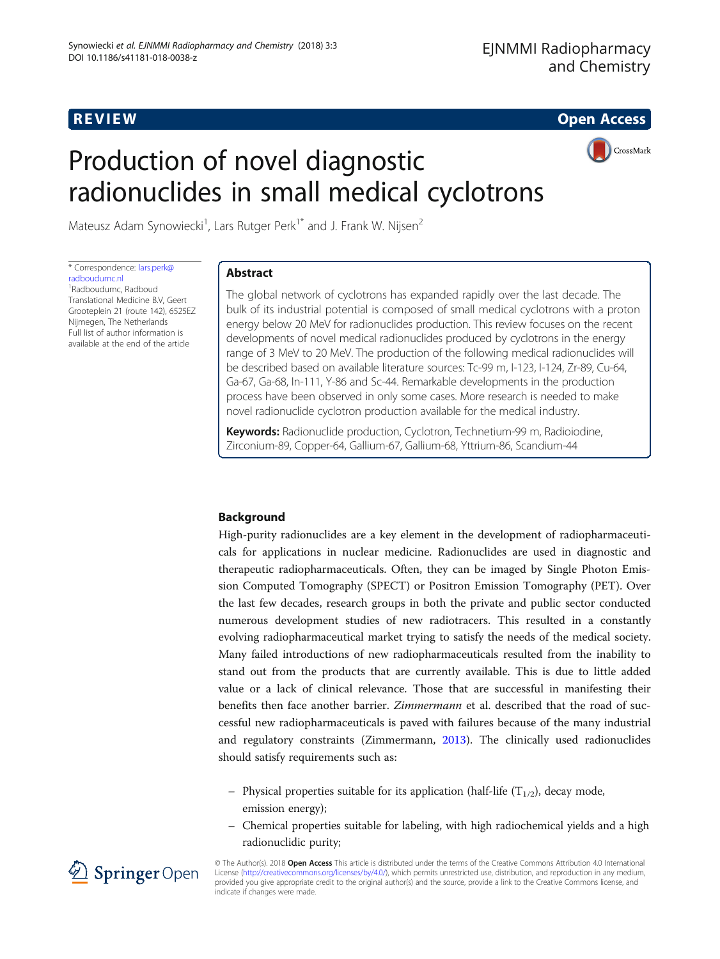**REVIEW CONSTRUCTION CONSTRUCTION CONSTRUCTS** 

CrossMark

# Production of novel diagnostic radionuclides in small medical cyclotrons

Mateusz Adam Synowiecki<sup>1</sup>, Lars Rutger Perk<sup>1\*</sup> and J. Frank W. Nijsen<sup>2</sup>

\* Correspondence: [lars.perk@](mailto:lars.perk@radboudumc.nl) [radboudumc.nl](mailto:lars.perk@radboudumc.nl)

1 Radboudumc, Radboud Translational Medicine B.V, Geert Grooteplein 21 (route 142), 6525EZ Nijmegen, The Netherlands Full list of author information is available at the end of the article

# Abstract

The global network of cyclotrons has expanded rapidly over the last decade. The bulk of its industrial potential is composed of small medical cyclotrons with a proton energy below 20 MeV for radionuclides production. This review focuses on the recent developments of novel medical radionuclides produced by cyclotrons in the energy range of 3 MeV to 20 MeV. The production of the following medical radionuclides will be described based on available literature sources: Tc-99 m, I-123, I-124, Zr-89, Cu-64, Ga-67, Ga-68, In-111, Y-86 and Sc-44. Remarkable developments in the production process have been observed in only some cases. More research is needed to make novel radionuclide cyclotron production available for the medical industry.

Keywords: Radionuclide production, Cyclotron, Technetium-99 m, Radioiodine, Zirconium-89, Copper-64, Gallium-67, Gallium-68, Yttrium-86, Scandium-44

# Background

High-purity radionuclides are a key element in the development of radiopharmaceuticals for applications in nuclear medicine. Radionuclides are used in diagnostic and therapeutic radiopharmaceuticals. Often, they can be imaged by Single Photon Emission Computed Tomography (SPECT) or Positron Emission Tomography (PET). Over the last few decades, research groups in both the private and public sector conducted numerous development studies of new radiotracers. This resulted in a constantly evolving radiopharmaceutical market trying to satisfy the needs of the medical society. Many failed introductions of new radiopharmaceuticals resulted from the inability to stand out from the products that are currently available. This is due to little added value or a lack of clinical relevance. Those that are successful in manifesting their benefits then face another barrier. Zimmermann et al. described that the road of successful new radiopharmaceuticals is paved with failures because of the many industrial and regulatory constraints (Zimmermann, [2013\)](#page-24-0). The clinically used radionuclides should satisfy requirements such as:

- Physical properties suitable for its application (half-life  $(T_{1/2})$ , decay mode, emission energy);
- Chemical properties suitable for labeling, with high radiochemical yields and a high radionuclidic purity;



© The Author(s). 2018 Open Access This article is distributed under the terms of the Creative Commons Attribution 4.0 International License [\(http://creativecommons.org/licenses/by/4.0/](http://creativecommons.org/licenses/by/4.0/)), which permits unrestricted use, distribution, and reproduction in any medium, provided you give appropriate credit to the original author(s) and the source, provide a link to the Creative Commons license, and indicate if changes were made.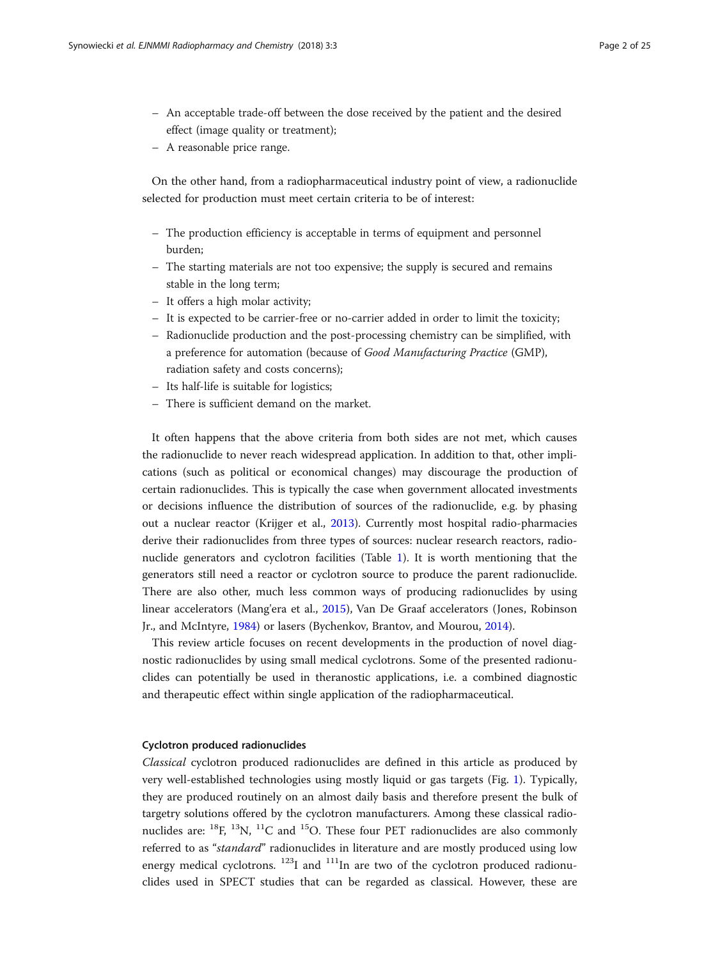- An acceptable trade-off between the dose received by the patient and the desired effect (image quality or treatment);
- A reasonable price range.

On the other hand, from a radiopharmaceutical industry point of view, a radionuclide selected for production must meet certain criteria to be of interest:

- The production efficiency is acceptable in terms of equipment and personnel burden;
- The starting materials are not too expensive; the supply is secured and remains stable in the long term;
- It offers a high molar activity;
- It is expected to be carrier-free or no-carrier added in order to limit the toxicity;
- Radionuclide production and the post-processing chemistry can be simplified, with a preference for automation (because of Good Manufacturing Practice (GMP), radiation safety and costs concerns);
- Its half-life is suitable for logistics;
- There is sufficient demand on the market.

It often happens that the above criteria from both sides are not met, which causes the radionuclide to never reach widespread application. In addition to that, other implications (such as political or economical changes) may discourage the production of certain radionuclides. This is typically the case when government allocated investments or decisions influence the distribution of sources of the radionuclide, e.g. by phasing out a nuclear reactor (Krijger et al., [2013](#page-23-0)). Currently most hospital radio-pharmacies derive their radionuclides from three types of sources: nuclear research reactors, radionuclide generators and cyclotron facilities (Table [1](#page-2-0)). It is worth mentioning that the generators still need a reactor or cyclotron source to produce the parent radionuclide. There are also other, much less common ways of producing radionuclides by using linear accelerators (Mang'era et al., [2015](#page-23-0)), Van De Graaf accelerators (Jones, Robinson Jr., and McIntyre, [1984](#page-23-0)) or lasers (Bychenkov, Brantov, and Mourou, [2014\)](#page-22-0).

This review article focuses on recent developments in the production of novel diagnostic radionuclides by using small medical cyclotrons. Some of the presented radionuclides can potentially be used in theranostic applications, i.e. a combined diagnostic and therapeutic effect within single application of the radiopharmaceutical.

#### Cyclotron produced radionuclides

Classical cyclotron produced radionuclides are defined in this article as produced by very well-established technologies using mostly liquid or gas targets (Fig. [1\)](#page-3-0). Typically, they are produced routinely on an almost daily basis and therefore present the bulk of targetry solutions offered by the cyclotron manufacturers. Among these classical radionuclides are:  $^{18}$ F,  $^{13}$ N,  $^{11}$ C and  $^{15}$ O. These four PET radionuclides are also commonly referred to as "standard" radionuclides in literature and are mostly produced using low energy medical cyclotrons.  $^{123}$ I and  $^{111}$ In are two of the cyclotron produced radionuclides used in SPECT studies that can be regarded as classical. However, these are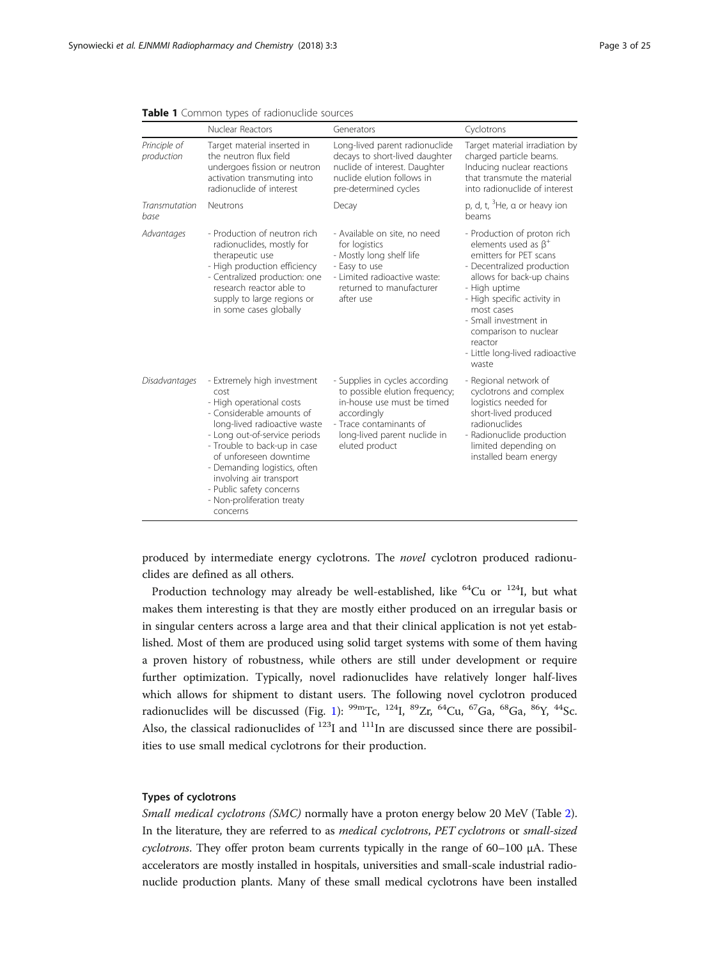|                            | Nuclear Reactors                                                                                                                                                                                                                                                                                                                                         | Generators                                                                                                                                                                                 | Cyclotrons                                                                                                                                                                                                                                                                                                                                                                                                                                                                                                                                                               |  |
|----------------------------|----------------------------------------------------------------------------------------------------------------------------------------------------------------------------------------------------------------------------------------------------------------------------------------------------------------------------------------------------------|--------------------------------------------------------------------------------------------------------------------------------------------------------------------------------------------|--------------------------------------------------------------------------------------------------------------------------------------------------------------------------------------------------------------------------------------------------------------------------------------------------------------------------------------------------------------------------------------------------------------------------------------------------------------------------------------------------------------------------------------------------------------------------|--|
| Principle of<br>production | Target material inserted in<br>the neutron flux field<br>undergoes fission or neutron<br>activation transmuting into<br>radionuclide of interest                                                                                                                                                                                                         | Long-lived parent radionuclide<br>decays to short-lived daughter<br>nuclide of interest. Daughter<br>nuclide elution follows in<br>pre-determined cycles                                   | Target material irradiation by<br>charged particle beams.<br>Inducing nuclear reactions<br>that transmute the material<br>into radionuclide of interest                                                                                                                                                                                                                                                                                                                                                                                                                  |  |
| Transmutation<br>base      | Neutrons                                                                                                                                                                                                                                                                                                                                                 | Decay                                                                                                                                                                                      | p, d, t, ${}^{3}$ He, a or heavy ion<br>beams<br>- Production of proton rich<br>elements used as $\beta^+$<br>emitters for PET scans<br>- Decentralized production<br>allows for back-up chains<br>- High uptime<br>- High specific activity in<br>most cases<br>- Small investment in<br>comparison to nuclear<br>reactor<br>- Little long-lived radioactive<br>waste<br>- Regional network of<br>cyclotrons and complex<br>logistics needed for<br>short-lived produced<br>radionuclides<br>- Radionuclide production<br>limited depending on<br>installed beam energy |  |
| Advantages                 | - Production of neutron rich<br>radionuclides, mostly for<br>therapeutic use<br>- High production efficiency<br>- Centralized production: one<br>research reactor able to<br>supply to large regions or<br>in some cases globally                                                                                                                        | - Available on site, no need<br>for logistics<br>- Mostly long shelf life<br>- Easy to use<br>- Limited radioactive waste:<br>returned to manufacturer<br>after use                        |                                                                                                                                                                                                                                                                                                                                                                                                                                                                                                                                                                          |  |
| Disadvantages              | - Extremely high investment<br>cost<br>- High operational costs<br>- Considerable amounts of<br>long-lived radioactive waste<br>- Long out-of-service periods<br>- Trouble to back-up in case<br>of unforeseen downtime<br>- Demanding logistics, often<br>involving air transport<br>- Public safety concerns<br>- Non-proliferation treaty<br>concerns | - Supplies in cycles according<br>to possible elution frequency;<br>in-house use must be timed<br>accordingly<br>- Trace contaminants of<br>long-lived parent nuclide in<br>eluted product |                                                                                                                                                                                                                                                                                                                                                                                                                                                                                                                                                                          |  |

<span id="page-2-0"></span>Table 1 Common types of radionuclide sources

produced by intermediate energy cyclotrons. The novel cyclotron produced radionuclides are defined as all others.

Production technology may already be well-established, like  $^{64}$ Cu or  $^{124}$ I, but what makes them interesting is that they are mostly either produced on an irregular basis or in singular centers across a large area and that their clinical application is not yet established. Most of them are produced using solid target systems with some of them having a proven history of robustness, while others are still under development or require further optimization. Typically, novel radionuclides have relatively longer half-lives which allows for shipment to distant users. The following novel cyclotron produced radionuclides will be discussed (Fig. [1\)](#page-3-0):  $^{99m}$ Tc,  $^{124}$ I,  $^{89}$ Zr,  $^{64}$ Cu,  $^{67}$ Ga,  $^{68}$ Ga,  $^{86}$ Y,  $^{44}$ Sc. Also, the classical radionuclides of  $^{123}$ I and  $^{111}$ In are discussed since there are possibilities to use small medical cyclotrons for their production.

## Types of cyclotrons

Small medical cyclotrons (SMC) normally have a proton energy below 20 MeV (Table [2](#page-3-0)). In the literature, they are referred to as medical cyclotrons, PET cyclotrons or small-sized  $cyclotrons$ . They offer proton beam currents typically in the range of 60–100  $\mu$ A. These accelerators are mostly installed in hospitals, universities and small-scale industrial radionuclide production plants. Many of these small medical cyclotrons have been installed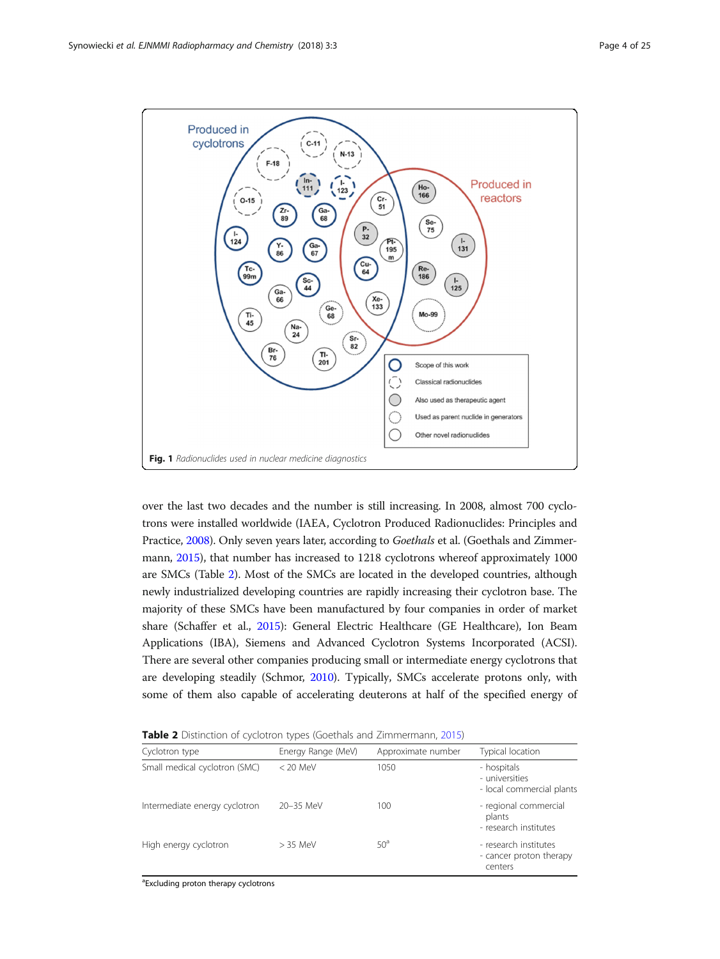

<span id="page-3-0"></span>

over the last two decades and the number is still increasing. In 2008, almost 700 cyclotrons were installed worldwide (IAEA, Cyclotron Produced Radionuclides: Principles and Practice, [2008](#page-23-0)). Only seven years later, according to Goethals et al. (Goethals and Zimmermann, [2015](#page-23-0)), that number has increased to 1218 cyclotrons whereof approximately 1000 are SMCs (Table 2). Most of the SMCs are located in the developed countries, although newly industrialized developing countries are rapidly increasing their cyclotron base. The majority of these SMCs have been manufactured by four companies in order of market share (Schaffer et al., [2015\)](#page-24-0): General Electric Healthcare (GE Healthcare), Ion Beam Applications (IBA), Siemens and Advanced Cyclotron Systems Incorporated (ACSI). There are several other companies producing small or intermediate energy cyclotrons that are developing steadily (Schmor, [2010\)](#page-24-0). Typically, SMCs accelerate protons only, with some of them also capable of accelerating deuterons at half of the specified energy of

| Cyclotron type                | Energy Range (MeV) | Approximate number | Typical location                                            |
|-------------------------------|--------------------|--------------------|-------------------------------------------------------------|
| Small medical cyclotron (SMC) | $<$ 20 MeV         | 1050               | - hospitals<br>- universities<br>- local commercial plants  |
| Intermediate energy cyclotron | 20-35 MeV          | 100                | - regional commercial<br>plants<br>- research institutes    |
| High energy cyclotron         | $> 35$ MeV         | 50 <sup>a</sup>    | - research institutes<br>- cancer proton therapy<br>centers |

<sup>a</sup> Excluding proton therapy cyclotrons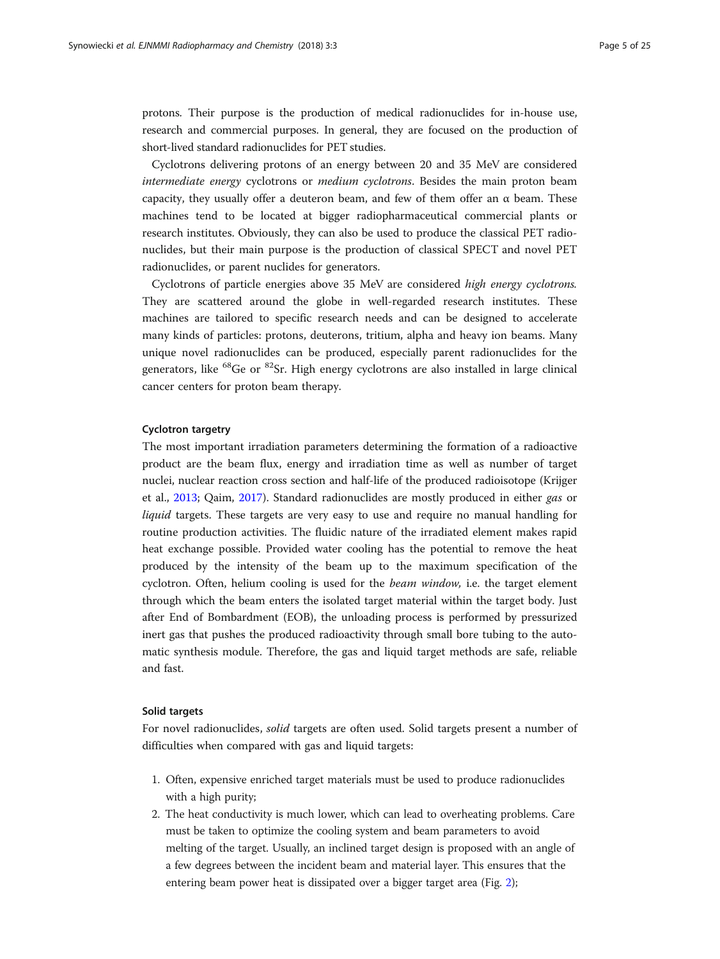protons. Their purpose is the production of medical radionuclides for in-house use, research and commercial purposes. In general, they are focused on the production of short-lived standard radionuclides for PET studies.

Cyclotrons delivering protons of an energy between 20 and 35 MeV are considered intermediate energy cyclotrons or *medium cyclotrons*. Besides the main proton beam capacity, they usually offer a deuteron beam, and few of them offer an  $\alpha$  beam. These machines tend to be located at bigger radiopharmaceutical commercial plants or research institutes. Obviously, they can also be used to produce the classical PET radionuclides, but their main purpose is the production of classical SPECT and novel PET radionuclides, or parent nuclides for generators.

Cyclotrons of particle energies above 35 MeV are considered high energy cyclotrons. They are scattered around the globe in well-regarded research institutes. These machines are tailored to specific research needs and can be designed to accelerate many kinds of particles: protons, deuterons, tritium, alpha and heavy ion beams. Many unique novel radionuclides can be produced, especially parent radionuclides for the generators, like  ${}^{68}$ Ge or  ${}^{82}$ Sr. High energy cyclotrons are also installed in large clinical cancer centers for proton beam therapy.

#### Cyclotron targetry

The most important irradiation parameters determining the formation of a radioactive product are the beam flux, energy and irradiation time as well as number of target nuclei, nuclear reaction cross section and half-life of the produced radioisotope (Krijger et al., [2013](#page-23-0); Qaim, [2017](#page-24-0)). Standard radionuclides are mostly produced in either gas or liquid targets. These targets are very easy to use and require no manual handling for routine production activities. The fluidic nature of the irradiated element makes rapid heat exchange possible. Provided water cooling has the potential to remove the heat produced by the intensity of the beam up to the maximum specification of the cyclotron. Often, helium cooling is used for the *beam window*, i.e. the target element through which the beam enters the isolated target material within the target body. Just after End of Bombardment (EOB), the unloading process is performed by pressurized inert gas that pushes the produced radioactivity through small bore tubing to the automatic synthesis module. Therefore, the gas and liquid target methods are safe, reliable and fast.

## Solid targets

For novel radionuclides, solid targets are often used. Solid targets present a number of difficulties when compared with gas and liquid targets:

- 1. Often, expensive enriched target materials must be used to produce radionuclides with a high purity;
- 2. The heat conductivity is much lower, which can lead to overheating problems. Care must be taken to optimize the cooling system and beam parameters to avoid melting of the target. Usually, an inclined target design is proposed with an angle of a few degrees between the incident beam and material layer. This ensures that the entering beam power heat is dissipated over a bigger target area (Fig. [2](#page-5-0));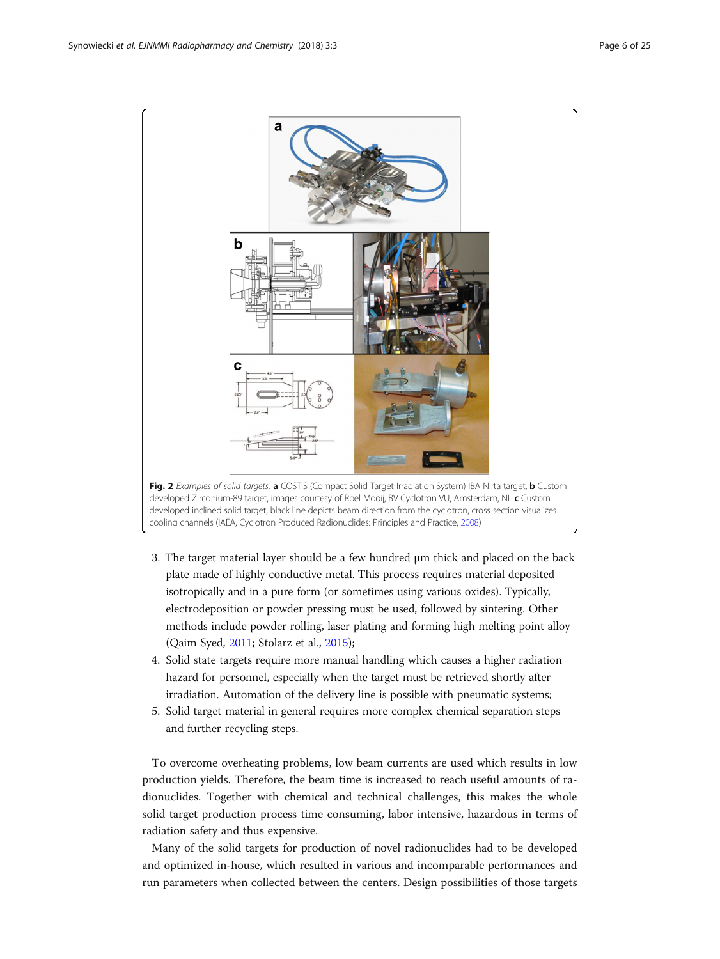<span id="page-5-0"></span>



- 3. The target material layer should be a few hundred μm thick and placed on the back plate made of highly conductive metal. This process requires material deposited isotropically and in a pure form (or sometimes using various oxides). Typically, electrodeposition or powder pressing must be used, followed by sintering. Other methods include powder rolling, laser plating and forming high melting point alloy (Qaim Syed, [2011;](#page-24-0) Stolarz et al., [2015](#page-24-0));
- 4. Solid state targets require more manual handling which causes a higher radiation hazard for personnel, especially when the target must be retrieved shortly after irradiation. Automation of the delivery line is possible with pneumatic systems;
- 5. Solid target material in general requires more complex chemical separation steps and further recycling steps.

To overcome overheating problems, low beam currents are used which results in low production yields. Therefore, the beam time is increased to reach useful amounts of radionuclides. Together with chemical and technical challenges, this makes the whole solid target production process time consuming, labor intensive, hazardous in terms of radiation safety and thus expensive.

Many of the solid targets for production of novel radionuclides had to be developed and optimized in-house, which resulted in various and incomparable performances and run parameters when collected between the centers. Design possibilities of those targets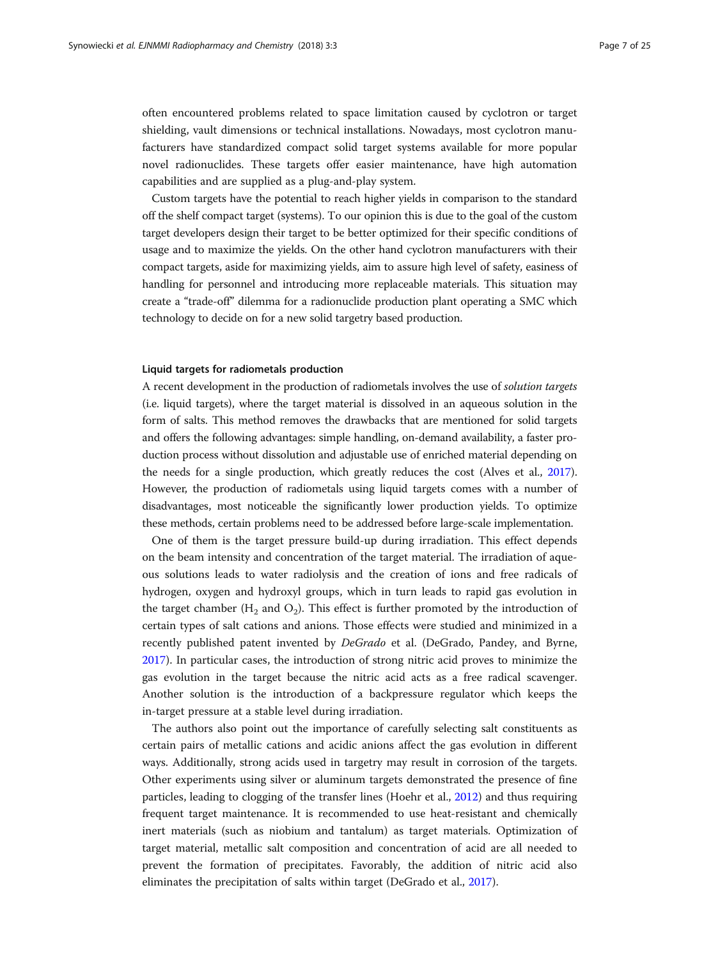often encountered problems related to space limitation caused by cyclotron or target shielding, vault dimensions or technical installations. Nowadays, most cyclotron manufacturers have standardized compact solid target systems available for more popular novel radionuclides. These targets offer easier maintenance, have high automation capabilities and are supplied as a plug-and-play system.

Custom targets have the potential to reach higher yields in comparison to the standard off the shelf compact target (systems). To our opinion this is due to the goal of the custom target developers design their target to be better optimized for their specific conditions of usage and to maximize the yields. On the other hand cyclotron manufacturers with their compact targets, aside for maximizing yields, aim to assure high level of safety, easiness of handling for personnel and introducing more replaceable materials. This situation may create a "trade-off" dilemma for a radionuclide production plant operating a SMC which technology to decide on for a new solid targetry based production.

#### Liquid targets for radiometals production

A recent development in the production of radiometals involves the use of solution targets (i.e. liquid targets), where the target material is dissolved in an aqueous solution in the form of salts. This method removes the drawbacks that are mentioned for solid targets and offers the following advantages: simple handling, on-demand availability, a faster production process without dissolution and adjustable use of enriched material depending on the needs for a single production, which greatly reduces the cost (Alves et al., [2017](#page-22-0)). However, the production of radiometals using liquid targets comes with a number of disadvantages, most noticeable the significantly lower production yields. To optimize these methods, certain problems need to be addressed before large-scale implementation.

One of them is the target pressure build-up during irradiation. This effect depends on the beam intensity and concentration of the target material. The irradiation of aqueous solutions leads to water radiolysis and the creation of ions and free radicals of hydrogen, oxygen and hydroxyl groups, which in turn leads to rapid gas evolution in the target chamber ( $H_2$  and  $O_2$ ). This effect is further promoted by the introduction of certain types of salt cations and anions. Those effects were studied and minimized in a recently published patent invented by DeGrado et al. (DeGrado, Pandey, and Byrne, [2017](#page-22-0)). In particular cases, the introduction of strong nitric acid proves to minimize the gas evolution in the target because the nitric acid acts as a free radical scavenger. Another solution is the introduction of a backpressure regulator which keeps the in-target pressure at a stable level during irradiation.

The authors also point out the importance of carefully selecting salt constituents as certain pairs of metallic cations and acidic anions affect the gas evolution in different ways. Additionally, strong acids used in targetry may result in corrosion of the targets. Other experiments using silver or aluminum targets demonstrated the presence of fine particles, leading to clogging of the transfer lines (Hoehr et al., [2012\)](#page-23-0) and thus requiring frequent target maintenance. It is recommended to use heat-resistant and chemically inert materials (such as niobium and tantalum) as target materials. Optimization of target material, metallic salt composition and concentration of acid are all needed to prevent the formation of precipitates. Favorably, the addition of nitric acid also eliminates the precipitation of salts within target (DeGrado et al., [2017](#page-22-0)).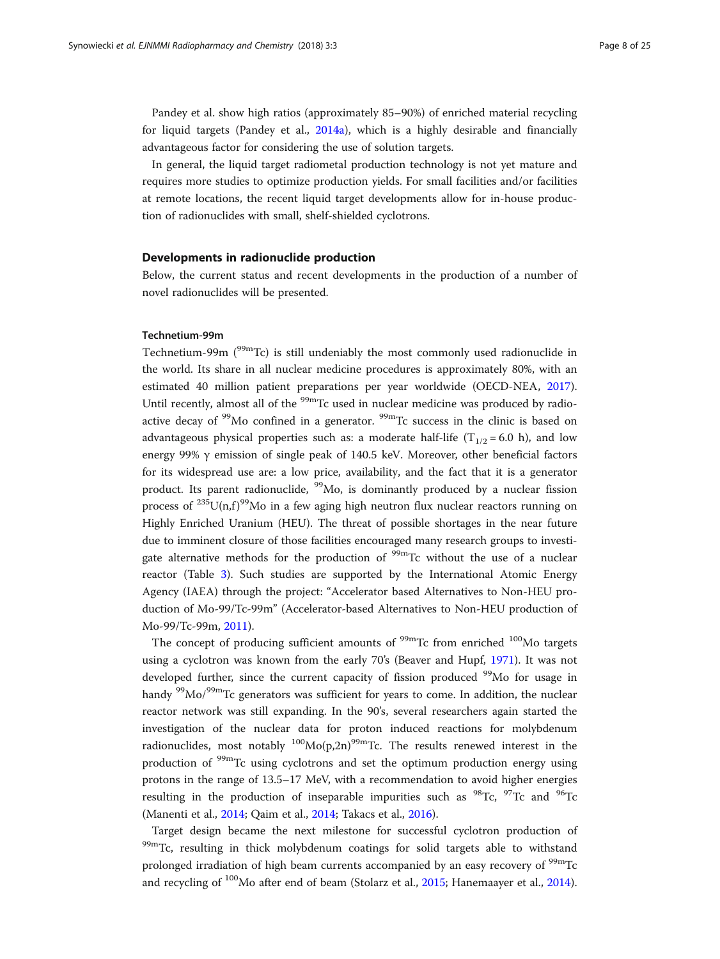Pandey et al. show high ratios (approximately 85–90%) of enriched material recycling for liquid targets (Pandey et al.,  $2014a$ ), which is a highly desirable and financially advantageous factor for considering the use of solution targets.

In general, the liquid target radiometal production technology is not yet mature and requires more studies to optimize production yields. For small facilities and/or facilities at remote locations, the recent liquid target developments allow for in-house production of radionuclides with small, shelf-shielded cyclotrons.

## Developments in radionuclide production

Below, the current status and recent developments in the production of a number of novel radionuclides will be presented.

## Technetium-99m

Technetium-99m  $(^{99m}Tc)$  is still undeniably the most commonly used radionuclide in the world. Its share in all nuclear medicine procedures is approximately 80%, with an estimated 40 million patient preparations per year worldwide (OECD-NEA, [2017](#page-23-0)). Until recently, almost all of the <sup>99m</sup>Tc used in nuclear medicine was produced by radioactive decay of  $99Mo$  confined in a generator.  $99mTc$  success in the clinic is based on advantageous physical properties such as: a moderate half-life  $(T_{1/2} = 6.0 \text{ h})$ , and low energy 99% γ emission of single peak of 140.5 keV. Moreover, other beneficial factors for its widespread use are: a low price, availability, and the fact that it is a generator product. Its parent radionuclide,  $99Mo$ , is dominantly produced by a nuclear fission process of  $^{235}U(n,f)^{99}Mo$  in a few aging high neutron flux nuclear reactors running on Highly Enriched Uranium (HEU). The threat of possible shortages in the near future due to imminent closure of those facilities encouraged many research groups to investigate alternative methods for the production of  $99m$ Tc without the use of a nuclear reactor (Table [3\)](#page-9-0). Such studies are supported by the International Atomic Energy Agency (IAEA) through the project: "Accelerator based Alternatives to Non-HEU production of Mo-99/Tc-99m" (Accelerator-based Alternatives to Non-HEU production of Mo-99/Tc-99m, [2011](#page-22-0)).

The concept of producing sufficient amounts of  $\frac{99 \text{m}}{2}$  from enriched  $\frac{100}{100}$  targets using a cyclotron was known from the early 70's (Beaver and Hupf, [1971\)](#page-22-0). It was not developed further, since the current capacity of fission produced  $99M$ o for usage in handy  $99\text{Mo}/99\text{m}$ Tc generators was sufficient for years to come. In addition, the nuclear reactor network was still expanding. In the 90's, several researchers again started the investigation of the nuclear data for proton induced reactions for molybdenum radionuclides, most notably  $100$ Mo(p,2n)<sup>99m</sup>Tc. The results renewed interest in the production of <sup>99m</sup>Tc using cyclotrons and set the optimum production energy using protons in the range of 13.5–17 MeV, with a recommendation to avoid higher energies resulting in the production of inseparable impurities such as  $98$ Tc,  $97$ Tc and  $96$ Tc (Manenti et al., [2014;](#page-23-0) Qaim et al., [2014;](#page-24-0) Takacs et al., [2016\)](#page-24-0).

Target design became the next milestone for successful cyclotron production of  $99m$ Tc, resulting in thick molybdenum coatings for solid targets able to withstand prolonged irradiation of high beam currents accompanied by an easy recovery of <sup>99m</sup>Tc and recycling of <sup>100</sup>Mo after end of beam (Stolarz et al., [2015;](#page-24-0) Hanemaayer et al., [2014](#page-23-0)).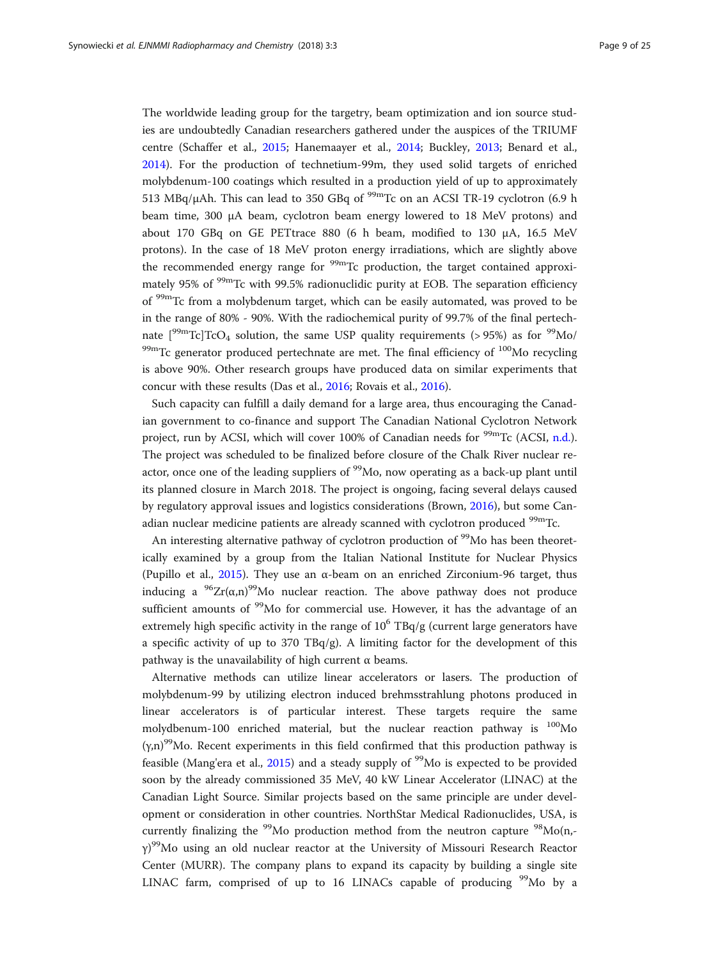The worldwide leading group for the targetry, beam optimization and ion source studies are undoubtedly Canadian researchers gathered under the auspices of the TRIUMF centre (Schaffer et al., [2015;](#page-24-0) Hanemaayer et al., [2014;](#page-23-0) Buckley, [2013](#page-22-0); Benard et al., [2014](#page-22-0)). For the production of technetium-99m, they used solid targets of enriched molybdenum-100 coatings which resulted in a production yield of up to approximately 513 MBq/ $\mu$ Ah. This can lead to 350 GBq of <sup>99m</sup>Tc on an ACSI TR-19 cyclotron (6.9 h beam time, 300 μA beam, cyclotron beam energy lowered to 18 MeV protons) and about 170 GBq on GE PETtrace 880 (6 h beam, modified to 130 μA, 16.5 MeV protons). In the case of 18 MeV proton energy irradiations, which are slightly above the recommended energy range for  $\frac{99 \text{m}}{2}$ Tc production, the target contained approximately 95% of <sup>99m</sup>Tc with 99.5% radionuclidic purity at EOB. The separation efficiency of <sup>99m</sup>Tc from a molybdenum target, which can be easily automated, was proved to be in the range of 80% - 90%. With the radiochemical purity of 99.7% of the final pertechnate  $[{}^{99m}Tc]TcO_4$  solution, the same USP quality requirements (> 95%) as for  ${}^{99}Mo/$  $99m$ Tc generator produced pertechnate are met. The final efficiency of  $100$ Mo recycling is above 90%. Other research groups have produced data on similar experiments that concur with these results (Das et al., [2016](#page-22-0); Rovais et al., [2016](#page-24-0)).

Such capacity can fulfill a daily demand for a large area, thus encouraging the Canadian government to co-finance and support The Canadian National Cyclotron Network project, run by ACSI, which will cover 100% of Canadian needs for <sup>99m</sup>Tc (ACSI, [n.d.](#page-22-0)). The project was scheduled to be finalized before closure of the Chalk River nuclear reactor, once one of the leading suppliers of  $\frac{99}{9}$ Mo, now operating as a back-up plant until its planned closure in March 2018. The project is ongoing, facing several delays caused by regulatory approval issues and logistics considerations (Brown, [2016\)](#page-22-0), but some Canadian nuclear medicine patients are already scanned with cyclotron produced  $99m$ Tc.

An interesting alternative pathway of cyclotron production of <sup>99</sup>Mo has been theoretically examined by a group from the Italian National Institute for Nuclear Physics (Pupillo et al., [2015](#page-24-0)). They use an  $\alpha$ -beam on an enriched Zirconium-96 target, thus inducing a  $^{96}Zr(\alpha,n)^{99}$ Mo nuclear reaction. The above pathway does not produce sufficient amounts of  $\frac{99}{9}$ Mo for commercial use. However, it has the advantage of an extremely high specific activity in the range of  $10^6$  TBq/g (current large generators have a specific activity of up to 370 TBq/g). A limiting factor for the development of this pathway is the unavailability of high current α beams.

Alternative methods can utilize linear accelerators or lasers. The production of molybdenum-99 by utilizing electron induced brehmsstrahlung photons produced in linear accelerators is of particular interest. These targets require the same molydbenum-100 enriched material, but the nuclear reaction pathway is  $^{100}$ Mo  $(y,n)^{99}$ Mo. Recent experiments in this field confirmed that this production pathway is feasible (Mang'era et al.,  $2015$ ) and a steady supply of <sup>99</sup>Mo is expected to be provided soon by the already commissioned 35 MeV, 40 kW Linear Accelerator (LINAC) at the Canadian Light Source. Similar projects based on the same principle are under development or consideration in other countries. NorthStar Medical Radionuclides, USA, is currently finalizing the  $99M$ o production method from the neutron capture  $98M$ o(n,γ)<sup>99</sup>Mo using an old nuclear reactor at the University of Missouri Research Reactor Center (MURR). The company plans to expand its capacity by building a single site LINAC farm, comprised of up to 16 LINACs capable of producing <sup>99</sup>Mo by a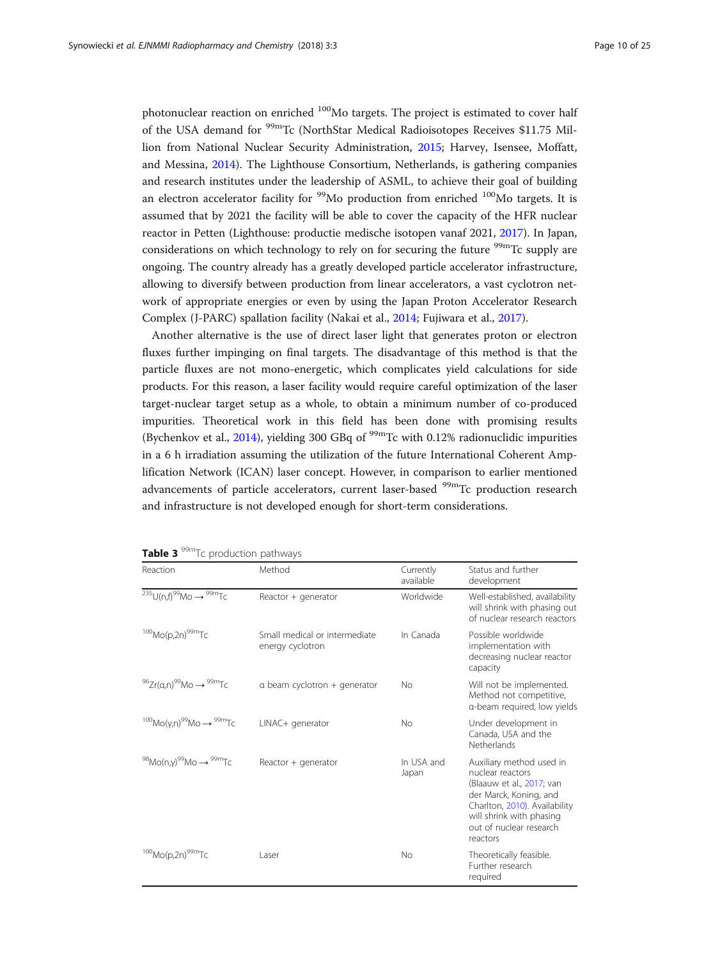<span id="page-9-0"></span>photonuclear reaction on enriched <sup>100</sup>Mo targets. The project is estimated to cover half of the USA demand for <sup>99m</sup>Tc (NorthStar Medical Radioisotopes Receives \$11.75 Million from National Nuclear Security Administration, [2015](#page-23-0); Harvey, Isensee, Moffatt, and Messina, [2014](#page-23-0)). The Lighthouse Consortium, Netherlands, is gathering companies and research institutes under the leadership of ASML, to achieve their goal of building an electron accelerator facility for  $\frac{99}{9}$ Mo production from enriched  $\frac{100}{9}$ Mo targets. It is assumed that by 2021 the facility will be able to cover the capacity of the HFR nuclear reactor in Petten (Lighthouse: productie medische isotopen vanaf 2021, [2017](#page-23-0)). In Japan, considerations on which technology to rely on for securing the future  $99m$ Tc supply are ongoing. The country already has a greatly developed particle accelerator infrastructure, allowing to diversify between production from linear accelerators, a vast cyclotron network of appropriate energies or even by using the Japan Proton Accelerator Research Complex (J-PARC) spallation facility (Nakai et al., [2014;](#page-23-0) Fujiwara et al., [2017\)](#page-23-0).

Another alternative is the use of direct laser light that generates proton or electron fluxes further impinging on final targets. The disadvantage of this method is that the particle fluxes are not mono-energetic, which complicates yield calculations for side products. For this reason, a laser facility would require careful optimization of the laser target-nuclear target setup as a whole, to obtain a minimum number of co-produced impurities. Theoretical work in this field has been done with promising results (Bychenkov et al., [2014\)](#page-22-0), yielding 300 GBq of  $\frac{99 \text{m}}{10}$  c with 0.12% radionuclidic impurities in a 6 h irradiation assuming the utilization of the future International Coherent Amplification Network (ICAN) laser concept. However, in comparison to earlier mentioned advancements of particle accelerators, current laser-based <sup>99m</sup>Tc production research and infrastructure is not developed enough for short-term considerations.

| Reaction                                                         | Method                                            | Currently<br>available | Status and further<br>development                                                                                                                                                                       |
|------------------------------------------------------------------|---------------------------------------------------|------------------------|---------------------------------------------------------------------------------------------------------------------------------------------------------------------------------------------------------|
| $^{235}$ U(n,f) <sup>99</sup> Mo $\rightarrow$ <sup>99m</sup> Tc | Reactor + generator                               | Worldwide              | Well-established, availability<br>will shrink with phasing out<br>of nuclear research reactors                                                                                                          |
| <sup>100</sup> Mo(p,2n) <sup>99m</sup> Tc                        | Small medical or intermediate<br>energy cyclotron | In Canada              | Possible worldwide<br>implementation with<br>decreasing nuclear reactor<br>capacity                                                                                                                     |
| $96Zr(\alpha,n)$ <sup>99</sup> Mo $\rightarrow$ $99mTc$          | $\alpha$ beam cyclotron + generator               | No                     | Will not be implemented.<br>Method not competitive,<br>a-beam required, low yields                                                                                                                      |
| $100$ Mo(y,n) <sup>99</sup> Mo $\rightarrow$ <sup>99m</sup> Tc   | LINAC+ generator                                  | N <sub>o</sub>         | Under development in<br>Canada. USA and the<br>Netherlands                                                                                                                                              |
| $^{98}$ Mo(n,y) $^{99}$ Mo $\rightarrow$ $^{99}$ mTc             | Reactor + generator                               | In USA and<br>Japan    | Auxiliary method used in<br>nuclear reactors<br>(Blaauw et al., 2017; van<br>der Marck, Koning, and<br>Charlton, 2010). Availability<br>will shrink with phasing<br>out of nuclear research<br>reactors |
| <sup>100</sup> Mo(p,2n) <sup>99m</sup> Tc                        | Laser                                             | No                     | Theoretically feasible.<br>Further research<br>required                                                                                                                                                 |

| Table 3 <sup>99m</sup> Tc production pathways |  |
|-----------------------------------------------|--|
|-----------------------------------------------|--|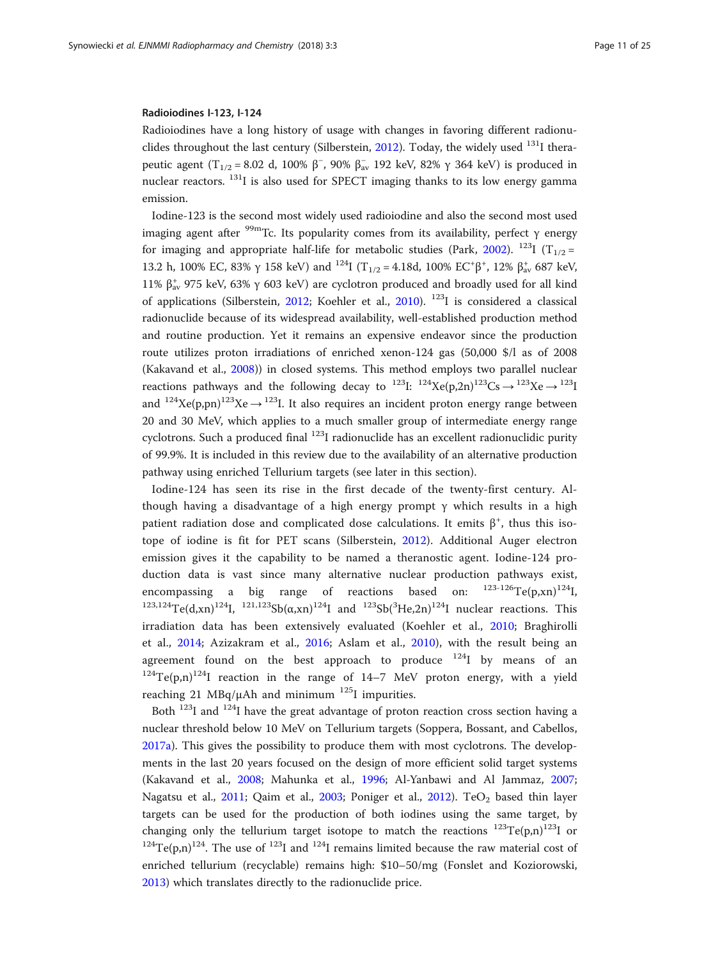#### Radioiodines I-123, I-124

Radioiodines have a long history of usage with changes in favoring different radionu-clides throughout the last century (Silberstein, [2012](#page-24-0)). Today, the widely used <sup>131</sup>I therapeutic agent (T<sub>1/2</sub> = 8.02 d, 100% β<sup>-</sup>, 90% β<sub>av</sub> 192 keV, 82% γ 364 keV) is produced in nuclear reactors.  $^{131}I$  is also used for SPECT imaging thanks to its low energy gamma emission.

Iodine-123 is the second most widely used radioiodine and also the second most used imaging agent after  $\frac{99 \text{m}}{2}$ C. Its popularity comes from its availability, perfect γ energy for imaging and appropriate half-life for metabolic studies (Park, [2002](#page-23-0)). <sup>123</sup>I ( $T_{1/2}$  = 13.2 h, 100% EC, 83% γ 158 keV) and <sup>124</sup>I (T<sub>1/2</sub> = 4.18d, 100% EC<sup>+</sup>β<sup>+</sup>, 12% β<sub>av</sub> 687 keV, 11%  $β_{av}^+$  975 keV, 63% γ 603 keV) are cyclotron produced and broadly used for all kind of applications (Silberstein, [2012;](#page-24-0) Koehler et al., [2010](#page-23-0)). 123I is considered a classical radionuclide because of its widespread availability, well-established production method and routine production. Yet it remains an expensive endeavor since the production route utilizes proton irradiations of enriched xenon-124 gas (50,000 \$/l as of 2008 (Kakavand et al., [2008\)](#page-23-0)) in closed systems. This method employs two parallel nuclear reactions pathways and the following decay to <sup>123</sup>I: <sup>124</sup>Xe(p,2n)<sup>123</sup>Cs  $\rightarrow$  <sup>123</sup>Xe  $\rightarrow$  <sup>123</sup>I and  $^{124}$ Xe(p,pn)<sup>123</sup>Xe  $\rightarrow$  <sup>123</sup>I. It also requires an incident proton energy range between 20 and 30 MeV, which applies to a much smaller group of intermediate energy range cyclotrons. Such a produced final  $123$ I radionuclide has an excellent radionuclidic purity of 99.9%. It is included in this review due to the availability of an alternative production pathway using enriched Tellurium targets (see later in this section).

Iodine-124 has seen its rise in the first decade of the twenty-first century. Although having a disadvantage of a high energy prompt  $\gamma$  which results in a high patient radiation dose and complicated dose calculations. It emits  $\beta^*$ , thus this isotope of iodine is fit for PET scans (Silberstein, [2012\)](#page-24-0). Additional Auger electron emission gives it the capability to be named a theranostic agent. Iodine-124 production data is vast since many alternative nuclear production pathways exist, encompassing a big range of reactions based on:  $^{123-126}Te(p,xn)^{124}I$ , <sup>123,124</sup>Te(d,xn)<sup>124</sup>I, <sup>121,123</sup>Sb(α,xn)<sup>124</sup>I and <sup>123</sup>Sb(<sup>3</sup>He,2n)<sup>124</sup>I nuclear reactions. This irradiation data has been extensively evaluated (Koehler et al., [2010;](#page-23-0) Braghirolli et al., [2014;](#page-22-0) Azizakram et al., [2016;](#page-22-0) Aslam et al., [2010](#page-22-0)), with the result being an agreement found on the best approach to produce  $^{124}I$  by means of an  $124$ Te(p,n)<sup>124</sup>I reaction in the range of 14–7 MeV proton energy, with a yield reaching 21 MBq/ $\mu$ Ah and minimum <sup>125</sup>I impurities.

Both  $^{123}I$  and  $^{124}I$  have the great advantage of proton reaction cross section having a nuclear threshold below 10 MeV on Tellurium targets (Soppera, Bossant, and Cabellos, [2017a\)](#page-24-0). This gives the possibility to produce them with most cyclotrons. The developments in the last 20 years focused on the design of more efficient solid target systems (Kakavand et al., [2008](#page-23-0); Mahunka et al., [1996;](#page-23-0) Al-Yanbawi and Al Jammaz, [2007](#page-22-0); Nagatsu et al.,  $2011$ ; Qaim et al.,  $2003$ ; Poniger et al.,  $2012$ ). TeO<sub>2</sub> based thin layer targets can be used for the production of both iodines using the same target, by changing only the tellurium target isotope to match the reactions  $^{123}Te(p,n)^{123}I$  or <sup>124</sup>Te(p,n)<sup>124</sup>. The use of <sup>123</sup>I and <sup>124</sup>I remains limited because the raw material cost of enriched tellurium (recyclable) remains high: \$10–50/mg (Fonslet and Koziorowski, [2013](#page-23-0)) which translates directly to the radionuclide price.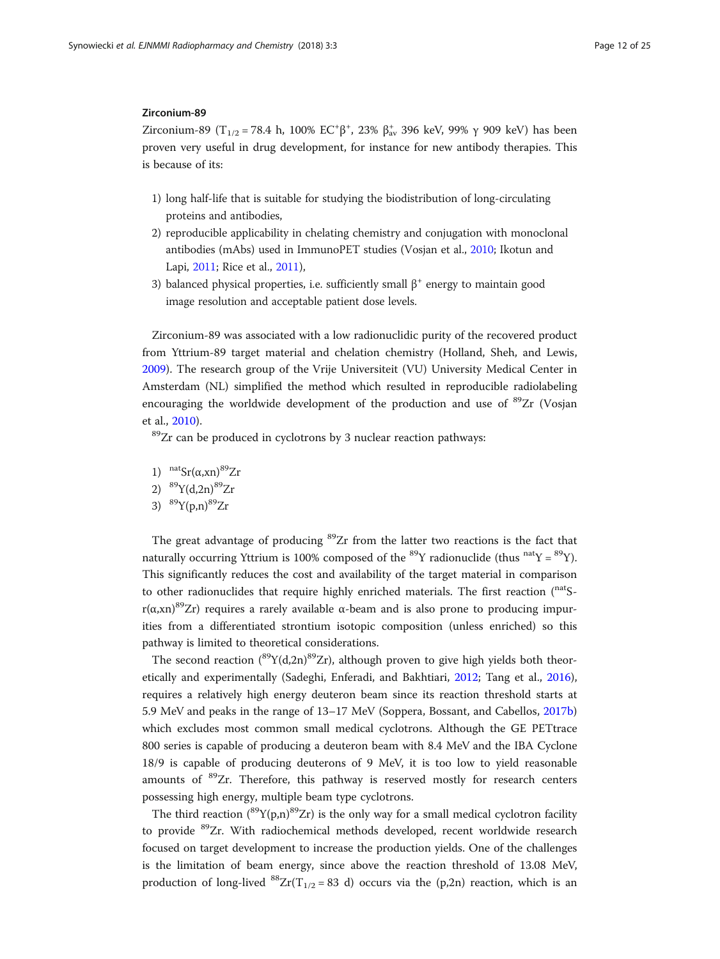#### Zirconium-89

Zirconium-89 (T<sub>1/2</sub> = 78.4 h, 100% EC<sup>+</sup>β<sup>+</sup>, 23% β<sub>av</sub> 396 keV, 99% γ 909 keV) has been proven very useful in drug development, for instance for new antibody therapies. This is because of its:

- 1) long half-life that is suitable for studying the biodistribution of long-circulating proteins and antibodies,
- 2) reproducible applicability in chelating chemistry and conjugation with monoclonal antibodies (mAbs) used in ImmunoPET studies (Vosjan et al., [2010;](#page-24-0) Ikotun and Lapi, [2011;](#page-23-0) Rice et al., [2011\)](#page-24-0),
- 3) balanced physical properties, i.e. sufficiently small  $\beta^+$  energy to maintain good image resolution and acceptable patient dose levels.

Zirconium-89 was associated with a low radionuclidic purity of the recovered product from Yttrium-89 target material and chelation chemistry (Holland, Sheh, and Lewis, [2009](#page-23-0)). The research group of the Vrije Universiteit (VU) University Medical Center in Amsterdam (NL) simplified the method which resulted in reproducible radiolabeling encouraging the worldwide development of the production and use of  ${}^{89}Zr$  (Vosjan et al., [2010\)](#page-24-0).

 $89Zr$  can be produced in cyclotrons by 3 nuclear reaction pathways:

- 1)  $^{nat}Sr(\alpha, xn)^{89}Zr$
- 2)  ${}^{89}Y(d,2n){}^{89}Zr$
- 3)  ${}^{89}Y(p,n){}^{89}Zr$

The great advantage of producing  ${}^{89}Zr$  from the latter two reactions is the fact that naturally occurring Yttrium is 100% composed of the <sup>89</sup>Y radionuclide (thus <sup>nat</sup>Y = <sup>89</sup>Y). This significantly reduces the cost and availability of the target material in comparison to other radionuclides that require highly enriched materials. The first reaction (natSr(α,xn)<sup>89</sup>Zr) requires a rarely available α-beam and is also prone to producing impurities from a differentiated strontium isotopic composition (unless enriched) so this pathway is limited to theoretical considerations.

The second reaction  $(^{89}Y(d,2n)^{89}Zr)$ , although proven to give high yields both theoretically and experimentally (Sadeghi, Enferadi, and Bakhtiari, [2012;](#page-24-0) Tang et al., [2016](#page-24-0)), requires a relatively high energy deuteron beam since its reaction threshold starts at 5.9 MeV and peaks in the range of 13–17 MeV (Soppera, Bossant, and Cabellos, [2017b](#page-24-0)) which excludes most common small medical cyclotrons. Although the GE PETtrace 800 series is capable of producing a deuteron beam with 8.4 MeV and the IBA Cyclone 18/9 is capable of producing deuterons of 9 MeV, it is too low to yield reasonable amounts of 89Zr. Therefore, this pathway is reserved mostly for research centers possessing high energy, multiple beam type cyclotrons.

The third reaction  $(^{89}Y(p,n)^{89}Zr)$  is the only way for a small medical cyclotron facility to provide <sup>89</sup>Zr. With radiochemical methods developed, recent worldwide research focused on target development to increase the production yields. One of the challenges is the limitation of beam energy, since above the reaction threshold of 13.08 MeV, production of long-lived <sup>88</sup>Zr(T<sub>1/2</sub> = 83 d) occurs via the (p,2n) reaction, which is an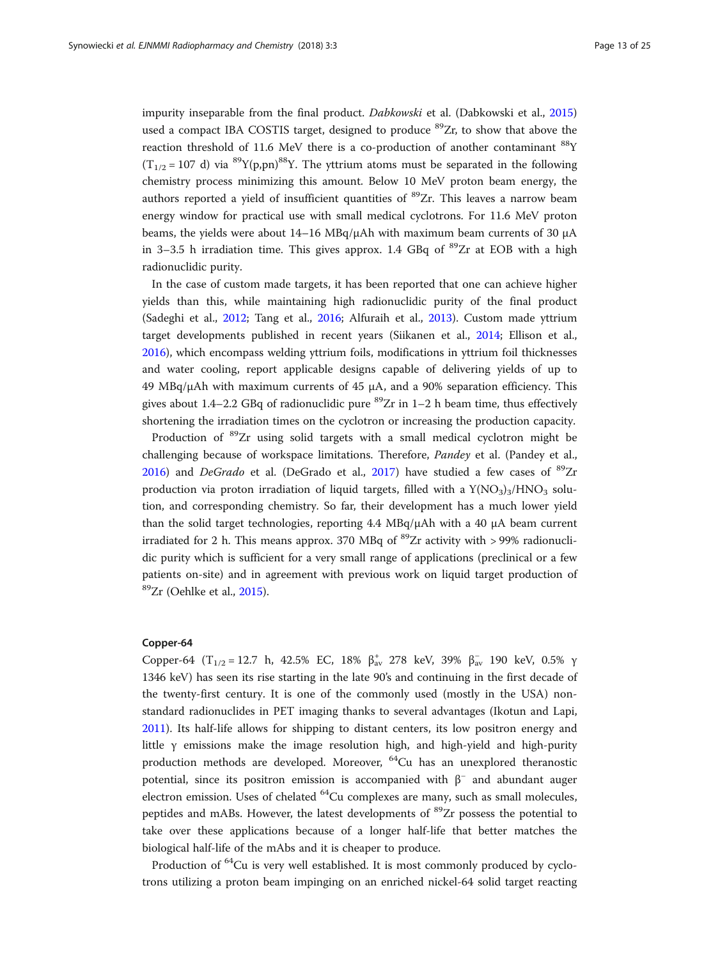impurity inseparable from the final product. Dabkowski et al. (Dabkowski et al., [2015](#page-22-0)) used a compact IBA COSTIS target, designed to produce  ${}^{89}Zr$ , to show that above the reaction threshold of 11.6 MeV there is a co-production of another contaminant  ${}^{88}Y$  $(T_{1/2} = 107 \text{ d})$  via <sup>89</sup>Y(p,pn)<sup>88</sup>Y. The yttrium atoms must be separated in the following chemistry process minimizing this amount. Below 10 MeV proton beam energy, the authors reported a yield of insufficient quantities of  ${}^{89}Zr$ . This leaves a narrow beam energy window for practical use with small medical cyclotrons. For 11.6 MeV proton beams, the yields were about  $14-16$  MBq/ $\mu$ Ah with maximum beam currents of 30  $\mu$ A in 3–3.5 h irradiation time. This gives approx. 1.4 GBq of  ${}^{89}Zr$  at EOB with a high radionuclidic purity.

In the case of custom made targets, it has been reported that one can achieve higher yields than this, while maintaining high radionuclidic purity of the final product (Sadeghi et al., [2012](#page-24-0); Tang et al., [2016](#page-24-0); Alfuraih et al., [2013](#page-22-0)). Custom made yttrium target developments published in recent years (Siikanen et al., [2014;](#page-24-0) Ellison et al., [2016](#page-22-0)), which encompass welding yttrium foils, modifications in yttrium foil thicknesses and water cooling, report applicable designs capable of delivering yields of up to 49 MBq/μAh with maximum currents of 45 μA, and a 90% separation efficiency. This gives about 1.4–2.2 GBq of radionuclidic pure  ${}^{89}Zr$  in 1–2 h beam time, thus effectively shortening the irradiation times on the cyclotron or increasing the production capacity.

Production of  ${}^{89}Zr$  using solid targets with a small medical cyclotron might be challenging because of workspace limitations. Therefore, Pandey et al. (Pandey et al., [2016](#page-23-0)) and *DeGrado* et al. (DeGrado et al., [2017](#page-22-0)) have studied a few cases of  ${}^{89}Zr$ production via proton irradiation of liquid targets, filled with a  $Y(NO<sub>3</sub>)<sub>3</sub>/HNO<sub>3</sub>$  solution, and corresponding chemistry. So far, their development has a much lower yield than the solid target technologies, reporting  $4.4 \text{ MBq}/\mu\text{Ah}$  with a 40  $\mu\text{A}$  beam current irradiated for 2 h. This means approx. 370 MBq of  ${}^{89}Zr$  activity with > 99% radionuclidic purity which is sufficient for a very small range of applications (preclinical or a few patients on-site) and in agreement with previous work on liquid target production of  ${}^{89}Zr$  (Oehlke et al., [2015](#page-23-0)).

## Copper-64

Copper-64 (T<sub>1/2</sub> = 12.7 h, 42.5% EC, 18%  $\beta_{av}^{+}$  278 keV, 39%  $\beta_{av}^{-}$  190 keV, 0.5%  $\gamma$ 1346 keV) has seen its rise starting in the late 90's and continuing in the first decade of the twenty-first century. It is one of the commonly used (mostly in the USA) nonstandard radionuclides in PET imaging thanks to several advantages (Ikotun and Lapi, [2011](#page-23-0)). Its half-life allows for shipping to distant centers, its low positron energy and little  $\gamma$  emissions make the image resolution high, and high-yield and high-purity production methods are developed. Moreover,  $64$ Cu has an unexplored theranostic potential, since its positron emission is accompanied with  $β$ <sup>-</sup> and abundant auger electron emission. Uses of chelated <sup>64</sup>Cu complexes are many, such as small molecules, peptides and mABs. However, the latest developments of <sup>89</sup>Zr possess the potential to take over these applications because of a longer half-life that better matches the biological half-life of the mAbs and it is cheaper to produce.

Production of  ${}^{64}$ Cu is very well established. It is most commonly produced by cyclotrons utilizing a proton beam impinging on an enriched nickel-64 solid target reacting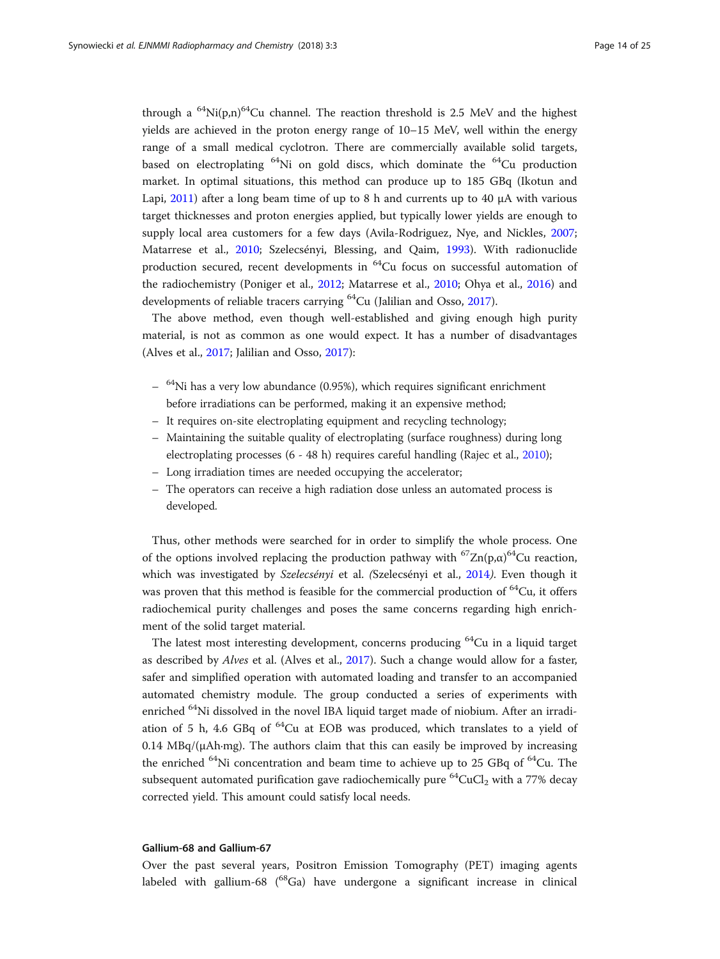through a  $^{64}$ Ni(p,n)<sup>64</sup>Cu channel. The reaction threshold is 2.5 MeV and the highest yields are achieved in the proton energy range of 10–15 MeV, well within the energy range of a small medical cyclotron. There are commercially available solid targets, based on electroplating  $^{64}$ Ni on gold discs, which dominate the  $^{64}$ Cu production market. In optimal situations, this method can produce up to 185 GBq (Ikotun and Lapi, [2011\)](#page-23-0) after a long beam time of up to 8 h and currents up to 40 μA with various target thicknesses and proton energies applied, but typically lower yields are enough to supply local area customers for a few days (Avila-Rodriguez, Nye, and Nickles, [2007](#page-22-0); Matarrese et al., [2010;](#page-23-0) Szelecsényi, Blessing, and Qaim, [1993\)](#page-24-0). With radionuclide production secured, recent developments in <sup>64</sup>Cu focus on successful automation of the radiochemistry (Poniger et al., [2012;](#page-24-0) Matarrese et al., [2010;](#page-23-0) Ohya et al., [2016\)](#page-23-0) and developments of reliable tracers carrying <sup>64</sup>Cu (Jalilian and Osso, [2017\)](#page-23-0).

The above method, even though well-established and giving enough high purity material, is not as common as one would expect. It has a number of disadvantages (Alves et al., [2017](#page-22-0); Jalilian and Osso, [2017\)](#page-23-0):

- $-$  <sup>64</sup>Ni has a very low abundance (0.95%), which requires significant enrichment before irradiations can be performed, making it an expensive method;
- It requires on-site electroplating equipment and recycling technology;
- Maintaining the suitable quality of electroplating (surface roughness) during long electroplating processes (6 - 48 h) requires careful handling (Rajec et al., [2010\)](#page-24-0);
- Long irradiation times are needed occupying the accelerator;
- The operators can receive a high radiation dose unless an automated process is developed.

Thus, other methods were searched for in order to simplify the whole process. One of the options involved replacing the production pathway with  ${}^{67}Zn(p,\alpha){}^{64}Cu$  reaction, which was investigated by Szelecsényi et al. (Szelecsényi et al., [2014](#page-24-0)). Even though it was proven that this method is feasible for the commercial production of <sup>64</sup>Cu, it offers radiochemical purity challenges and poses the same concerns regarding high enrichment of the solid target material.

The latest most interesting development, concerns producing <sup>64</sup>Cu in a liquid target as described by Alves et al. (Alves et al., [2017](#page-22-0)). Such a change would allow for a faster, safer and simplified operation with automated loading and transfer to an accompanied automated chemistry module. The group conducted a series of experiments with enriched <sup>64</sup>Ni dissolved in the novel IBA liquid target made of niobium. After an irradiation of 5 h, 4.6 GBq of  $^{64}$ Cu at EOB was produced, which translates to a yield of  $0.14$  MBq/( $\mu$ Ah·mg). The authors claim that this can easily be improved by increasing the enriched  $^{64}$ Ni concentration and beam time to achieve up to 25 GBq of  $^{64}$ Cu. The subsequent automated purification gave radiochemically pure  ${}^{64}CuCl_2$  with a 77% decay corrected yield. This amount could satisfy local needs.

## Gallium-68 and Gallium-67

Over the past several years, Positron Emission Tomography (PET) imaging agents labeled with gallium-68 ( $^{68}$ Ga) have undergone a significant increase in clinical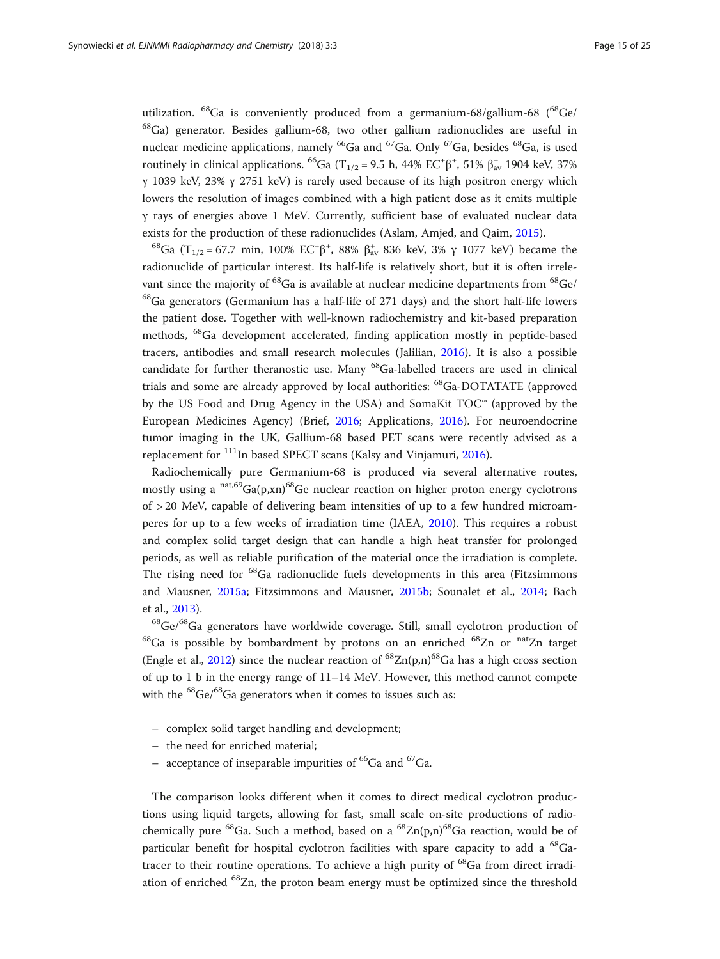utilization.  $^{68}$ Ga is conveniently produced from a germanium-68/gallium-68  $^{68}$ Ge/  $^{68}$ Ga) generator. Besides gallium-68, two other gallium radionuclides are useful in nuclear medicine applications, namely  ${}^{66}$ Ga and  ${}^{67}$ Ga. Only  ${}^{67}$ Ga, besides  ${}^{68}$ Ga, is used routinely in clinical applications. <sup>66</sup>Ga (T<sub>1/2</sub> = 9.5 h, 44% EC<sup>+</sup> $\beta$ <sup>+</sup>, 51%  $\beta_{\text{av}}^{+}$  1904 keV, 37% γ 1039 keV, 23% γ 2751 keV) is rarely used because of its high positron energy which lowers the resolution of images combined with a high patient dose as it emits multiple γ rays of energies above 1 MeV. Currently, sufficient base of evaluated nuclear data exists for the production of these radionuclides (Aslam, Amjed, and Oaim, [2015](#page-22-0)).

<sup>68</sup>Ga (T<sub>1/2</sub> = 67.7 min, 100% EC<sup>+</sup>β<sup>+</sup>, 88% β<sub>a</sub><sup>+</sup> 836 keV, 3% γ 1077 keV) became the radionuclide of particular interest. Its half-life is relatively short, but it is often irrelevant since the majority of  ${}^{68}$ Ga is available at nuclear medicine departments from  ${}^{68}$ Ge/ 68Ga generators (Germanium has a half-life of 271 days) and the short half-life lowers the patient dose. Together with well-known radiochemistry and kit-based preparation methods, 68Ga development accelerated, finding application mostly in peptide-based tracers, antibodies and small research molecules (Jalilian, [2016\)](#page-23-0). It is also a possible candidate for further theranostic use. Many 68Ga-labelled tracers are used in clinical trials and some are already approved by local authorities: <sup>68</sup>Ga-DOTATATE (approved by the US Food and Drug Agency in the USA) and SomaKit TOC™ (approved by the European Medicines Agency) (Brief, [2016](#page-22-0); Applications, [2016](#page-22-0)). For neuroendocrine tumor imaging in the UK, Gallium-68 based PET scans were recently advised as a replacement for <sup>111</sup>In based SPECT scans (Kalsy and Vinjamuri, [2016](#page-23-0)).

Radiochemically pure Germanium-68 is produced via several alternative routes, mostly using a  $\frac{n \pi k \epsilon^6}{Ga(p,xn)^{68}Ge}$  nuclear reaction on higher proton energy cyclotrons of > 20 MeV, capable of delivering beam intensities of up to a few hundred microamperes for up to a few weeks of irradiation time (IAEA, [2010](#page-23-0)). This requires a robust and complex solid target design that can handle a high heat transfer for prolonged periods, as well as reliable purification of the material once the irradiation is complete. The rising need for <sup>68</sup>Ga radionuclide fuels developments in this area (Fitzsimmons and Mausner, [2015a;](#page-23-0) Fitzsimmons and Mausner, [2015b](#page-23-0); Sounalet et al., [2014;](#page-24-0) Bach et al., [2013\)](#page-22-0).

68Ge/68Ga generators have worldwide coverage. Still, small cyclotron production of  $^{68}$ Ga is possible by bombardment by protons on an enriched  $^{68}$ Zn or  $^{nat}$ Zn target (Engle et al., [2012\)](#page-22-0) since the nuclear reaction of  ${}^{68}Zn(p,n){}^{68}Ga$  has a high cross section of up to 1 b in the energy range of 11–14 MeV. However, this method cannot compete with the <sup>68</sup>Ge/<sup>68</sup>Ga generators when it comes to issues such as:

- complex solid target handling and development;
- the need for enriched material;
- acceptance of inseparable impurities of  ${}^{66}Ga$  and  ${}^{67}Ga$ .

The comparison looks different when it comes to direct medical cyclotron productions using liquid targets, allowing for fast, small scale on-site productions of radiochemically pure <sup>68</sup>Ga. Such a method, based on a  ${}^{68}Zn(p,n){}^{68}Ga$  reaction, would be of particular benefit for hospital cyclotron facilities with spare capacity to add a  $^{68}$ Gatracer to their routine operations. To achieve a high purity of  ${}^{68}$ Ga from direct irradiation of enriched <sup>68</sup>Zn, the proton beam energy must be optimized since the threshold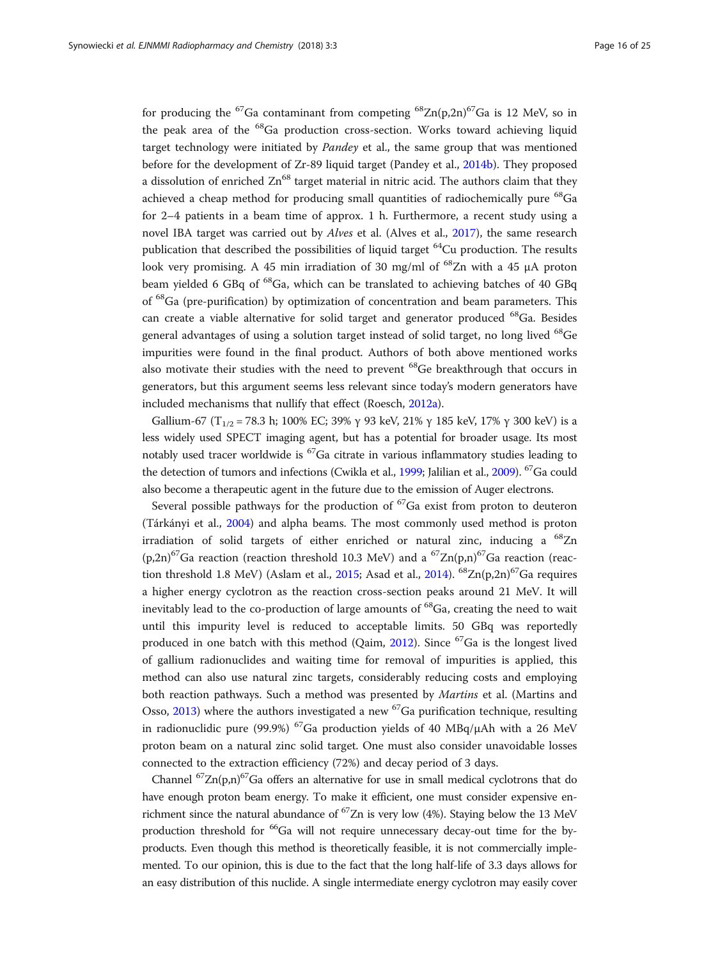for producing the <sup>67</sup>Ga contaminant from competing  ${}^{68}Zn(p,2n){}^{67}Ga$  is 12 MeV, so in the peak area of the <sup>68</sup>Ga production cross-section. Works toward achieving liquid target technology were initiated by Pandey et al., the same group that was mentioned before for the development of Zr-89 liquid target (Pandey et al., [2014b\)](#page-23-0). They proposed a dissolution of enriched  $Zn<sup>68</sup>$  target material in nitric acid. The authors claim that they achieved a cheap method for producing small quantities of radiochemically pure <sup>68</sup>Ga for 2–4 patients in a beam time of approx. 1 h. Furthermore, a recent study using a novel IBA target was carried out by *Alves* et al. (Alves et al., [2017\)](#page-22-0), the same research publication that described the possibilities of liquid target  $^{64}$ Cu production. The results look very promising. A 45 min irradiation of 30 mg/ml of  $^{68}Zn$  with a 45  $\mu$ A proton beam yielded 6 GBq of  ${}^{68}$ Ga, which can be translated to achieving batches of 40 GBq of 68Ga (pre-purification) by optimization of concentration and beam parameters. This can create a viable alternative for solid target and generator produced 68Ga. Besides general advantages of using a solution target instead of solid target, no long lived <sup>68</sup>Ge impurities were found in the final product. Authors of both above mentioned works also motivate their studies with the need to prevent <sup>68</sup>Ge breakthrough that occurs in generators, but this argument seems less relevant since today's modern generators have included mechanisms that nullify that effect (Roesch, [2012a](#page-24-0)).

Gallium-67 (T<sub>1/2</sub> = 78.3 h; 100% EC; 39% γ 93 keV, 21% γ 185 keV, 17% γ 300 keV) is a less widely used SPECT imaging agent, but has a potential for broader usage. Its most notably used tracer worldwide is  ${}^{67}$ Ga citrate in various inflammatory studies leading to the detection of tumors and infections (Cwikla et al., [1999](#page-22-0); Jalilian et al., [2009](#page-23-0)). <sup>67</sup>Ga could also become a therapeutic agent in the future due to the emission of Auger electrons.

Several possible pathways for the production of  ${}^{67}$ Ga exist from proton to deuteron (Tárkányi et al., [2004\)](#page-24-0) and alpha beams. The most commonly used method is proton irradiation of solid targets of either enriched or natural zinc, inducing a  ${}^{68}Zn$  $(p,2n)^{67}$ Ga reaction (reaction threshold 10.3 MeV) and a  ${}^{67}Zn(p,n)^{67}$ Ga reaction (reac-tion threshold 1.8 MeV) (Aslam et al., [2015](#page-22-0); Asad et al.,  $2014$ ).  $^{68}Zn(p,2n)^{67}Ga$  requires a higher energy cyclotron as the reaction cross-section peaks around 21 MeV. It will inevitably lead to the co-production of large amounts of <sup>68</sup>Ga, creating the need to wait until this impurity level is reduced to acceptable limits. 50 GBq was reportedly produced in one batch with this method (Qaim, [2012](#page-24-0)). Since  $^{67}$ Ga is the longest lived of gallium radionuclides and waiting time for removal of impurities is applied, this method can also use natural zinc targets, considerably reducing costs and employing both reaction pathways. Such a method was presented by Martins et al. (Martins and Osso, [2013\)](#page-23-0) where the authors investigated a new  ${}^{67}$ Ga purification technique, resulting in radionuclidic pure (99.9%) <sup>67</sup>Ga production yields of 40 MBq/ $\mu$ Ah with a 26 MeV proton beam on a natural zinc solid target. One must also consider unavoidable losses connected to the extraction efficiency (72%) and decay period of 3 days.

Channel  ${}^{67}Zn(p,n){}^{67}Ga$  offers an alternative for use in small medical cyclotrons that do have enough proton beam energy. To make it efficient, one must consider expensive enrichment since the natural abundance of  ${}^{67}Zn$  is very low (4%). Staying below the 13 MeV production threshold for 66Ga will not require unnecessary decay-out time for the byproducts. Even though this method is theoretically feasible, it is not commercially implemented. To our opinion, this is due to the fact that the long half-life of 3.3 days allows for an easy distribution of this nuclide. A single intermediate energy cyclotron may easily cover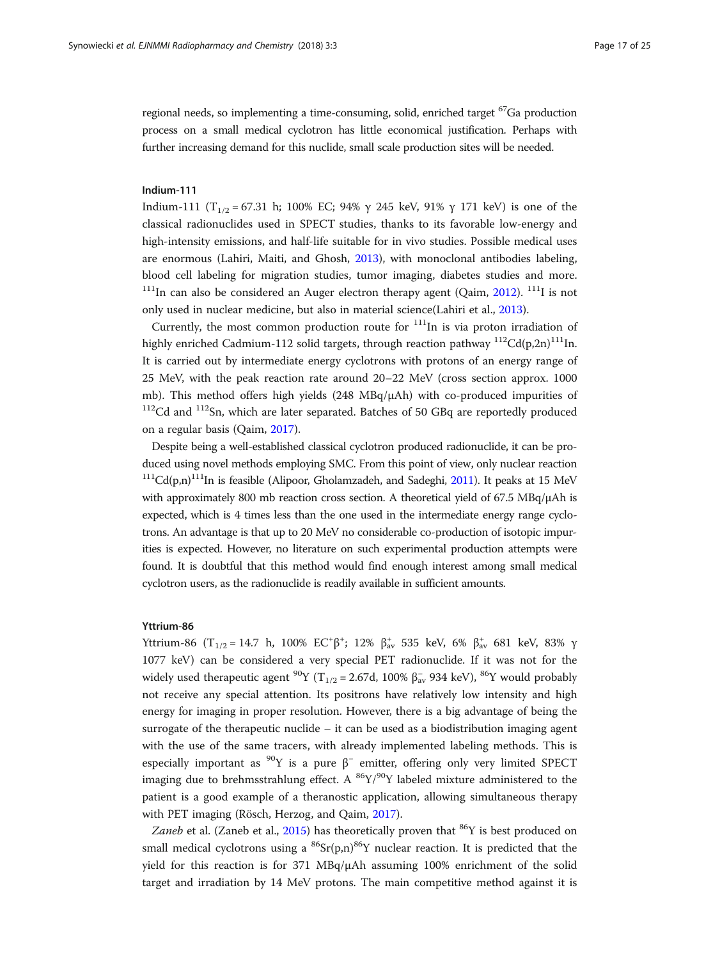regional needs, so implementing a time-consuming, solid, enriched target <sup>67</sup>Ga production process on a small medical cyclotron has little economical justification. Perhaps with further increasing demand for this nuclide, small scale production sites will be needed.

#### Indium-111

Indium-111 (T<sub>1/2</sub> = 67.31 h; 100% EC; 94% γ 245 keV, 91% γ 171 keV) is one of the classical radionuclides used in SPECT studies, thanks to its favorable low-energy and high-intensity emissions, and half-life suitable for in vivo studies. Possible medical uses are enormous (Lahiri, Maiti, and Ghosh, [2013\)](#page-23-0), with monoclonal antibodies labeling, blood cell labeling for migration studies, tumor imaging, diabetes studies and more.  $111$ In can also be considered an Auger electron therapy agent (Qaim, [2012\)](#page-24-0).  $111$ I is not only used in nuclear medicine, but also in material science(Lahiri et al., [2013\)](#page-23-0).

Currently, the most common production route for  $111$ In is via proton irradiation of highly enriched Cadmium-112 solid targets, through reaction pathway  $112 \text{Cd}(p,2n)$ <sup>111</sup>In. It is carried out by intermediate energy cyclotrons with protons of an energy range of 25 MeV, with the peak reaction rate around 20–22 MeV (cross section approx. 1000 mb). This method offers high yields (248 MBq/μAh) with co-produced impurities of  $112$ Cd and  $112$ Sn, which are later separated. Batches of 50 GBq are reportedly produced on a regular basis (Qaim, [2017](#page-24-0)).

Despite being a well-established classical cyclotron produced radionuclide, it can be produced using novel methods employing SMC. From this point of view, only nuclear reaction  $111 \text{Cd}(p,n)^{111}$ In is feasible (Alipoor, Gholamzadeh, and Sadeghi, [2011](#page-22-0)). It peaks at 15 MeV with approximately 800 mb reaction cross section. A theoretical yield of 67.5 MBq/ $\mu$ Ah is expected, which is 4 times less than the one used in the intermediate energy range cyclotrons. An advantage is that up to 20 MeV no considerable co-production of isotopic impurities is expected. However, no literature on such experimental production attempts were found. It is doubtful that this method would find enough interest among small medical cyclotron users, as the radionuclide is readily available in sufficient amounts.

### Yttrium-86

Yttrium-86 (T<sub>1/2</sub> = 14.7 h, 100%  $EC^{+}\beta^{+}$ ; 12%  $\beta^{+}_{av}$  535 keV, 6%  $\beta^{+}_{av}$  681 keV, 83% γ 1077 keV) can be considered a very special PET radionuclide. If it was not for the widely used therapeutic agent  $^{90}Y$  (T<sub>1/2</sub> = 2.67d, 100% β<sub>av</sub> 934 keV), <sup>86</sup>Y would probably not receive any special attention. Its positrons have relatively low intensity and high energy for imaging in proper resolution. However, there is a big advantage of being the surrogate of the therapeutic nuclide – it can be used as a biodistribution imaging agent with the use of the same tracers, with already implemented labeling methods. This is especially important as  $90Y$  is a pure  $\beta^-$  emitter, offering only very limited SPECT imaging due to brehmsstrahlung effect. A  ${}^{86}Y/{}^{90}Y$  labeled mixture administered to the patient is a good example of a theranostic application, allowing simultaneous therapy with PET imaging (Rösch, Herzog, and Qaim, [2017\)](#page-24-0).

Zaneb et al. (Zaneb et al., [2015\)](#page-24-0) has theoretically proven that  $^{86}Y$  is best produced on small medical cyclotrons using a  ${}^{86}Sr(p,n){}^{86}Y$  nuclear reaction. It is predicted that the yield for this reaction is for 371 MBq/ $\mu$ Ah assuming 100% enrichment of the solid target and irradiation by 14 MeV protons. The main competitive method against it is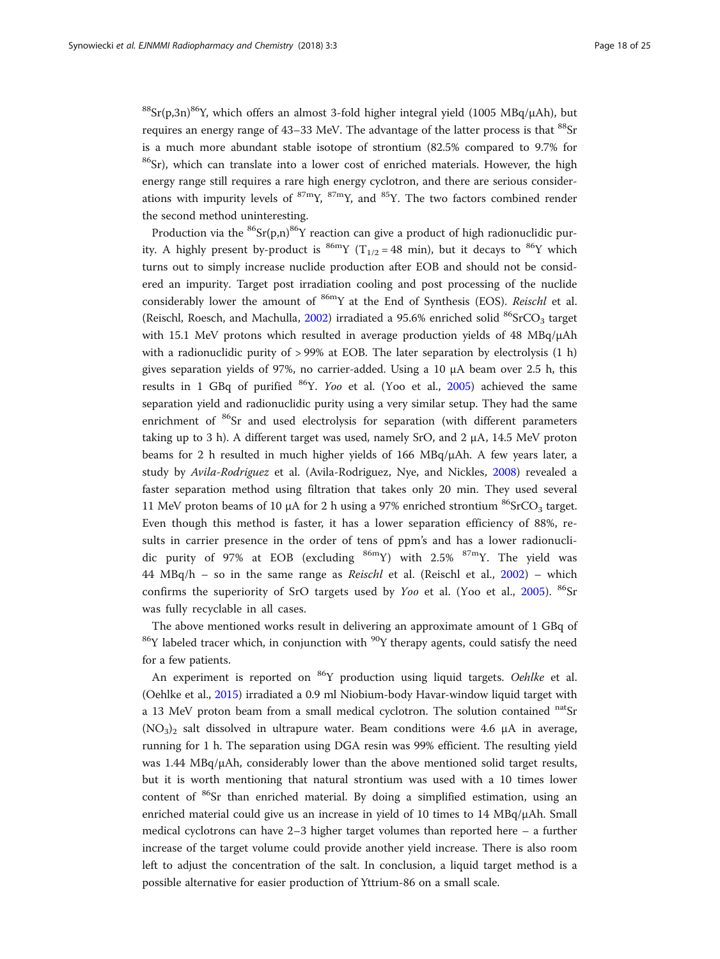$88Sr(p,3n)^{86}$ Y, which offers an almost 3-fold higher integral yield (1005 MBq/µAh), but requires an energy range of  $43-33$  MeV. The advantage of the latter process is that  $^{88}Sr$ is a much more abundant stable isotope of strontium (82.5% compared to 9.7% for  $86$ Sr), which can translate into a lower cost of enriched materials. However, the high energy range still requires a rare high energy cyclotron, and there are serious considerations with impurity levels of  ${}^{87m}Y$ ,  ${}^{87m}Y$ , and  ${}^{85}Y$ . The two factors combined render the second method uninteresting.

Production via the  ${}^{86}Sr(p,n)_{86}$  reaction can give a product of high radionuclidic purity. A highly present by-product is <sup>86m</sup>Y (T<sub>1/2</sub> = 48 min), but it decays to <sup>86</sup>Y which turns out to simply increase nuclide production after EOB and should not be considered an impurity. Target post irradiation cooling and post processing of the nuclide considerably lower the amount of <sup>86m</sup>Y at the End of Synthesis (EOS). Reischl et al. (Reischl, Roesch, and Machulla,  $2002$ ) irradiated a 95.6% enriched solid  $86$ SrCO<sub>3</sub> target with 15.1 MeV protons which resulted in average production yields of 48 MBq/ $\mu$ Ah with a radionuclidic purity of  $> 99\%$  at EOB. The later separation by electrolysis (1 h) gives separation yields of 97%, no carrier-added. Using a 10 μA beam over 2.5 h, this results in 1 GBq of purified  $^{86}Y$ . *Yoo* et al. (Yoo et al., [2005\)](#page-24-0) achieved the same separation yield and radionuclidic purity using a very similar setup. They had the same enrichment of <sup>86</sup>Sr and used electrolysis for separation (with different parameters taking up to 3 h). A different target was used, namely SrO, and 2  $\mu$ A, 14.5 MeV proton beams for 2 h resulted in much higher yields of 166 MBq/μAh. A few years later, a study by Avila-Rodriguez et al. (Avila-Rodriguez, Nye, and Nickles, [2008](#page-22-0)) revealed a faster separation method using filtration that takes only 20 min. They used several 11 MeV proton beams of 10 μA for 2 h using a 97% enriched strontium  $86$ SrCO<sub>3</sub> target. Even though this method is faster, it has a lower separation efficiency of 88%, results in carrier presence in the order of tens of ppm's and has a lower radionuclidic purity of 97% at EOB (excluding  $86$ mY) with 2.5%  $87$ mY. The yield was 44 MBq/h – so in the same range as *Reischl* et al. (Reischl et al.,  $2002$ ) – which confirms the superiority of SrO targets used by Yoo et al. (Yoo et al., [2005](#page-24-0)).  $^{86}Sr$ was fully recyclable in all cases.

The above mentioned works result in delivering an approximate amount of 1 GBq of  $86Y$  labeled tracer which, in conjunction with  $90Y$  therapy agents, could satisfy the need for a few patients.

An experiment is reported on  ${}^{86}Y$  production using liquid targets. Oehlke et al. (Oehlke et al., [2015](#page-23-0)) irradiated a 0.9 ml Niobium-body Havar-window liquid target with a 13 MeV proton beam from a small medical cyclotron. The solution contained natSr  $(NO<sub>3</sub>)<sub>2</sub>$  salt dissolved in ultrapure water. Beam conditions were 4.6  $\mu$ A in average, running for 1 h. The separation using DGA resin was 99% efficient. The resulting yield was 1.44 MBq/μAh, considerably lower than the above mentioned solid target results, but it is worth mentioning that natural strontium was used with a 10 times lower content of <sup>86</sup>Sr than enriched material. By doing a simplified estimation, using an enriched material could give us an increase in yield of 10 times to 14  $MBq/\mu$ Ah. Small medical cyclotrons can have 2–3 higher target volumes than reported here – a further increase of the target volume could provide another yield increase. There is also room left to adjust the concentration of the salt. In conclusion, a liquid target method is a possible alternative for easier production of Yttrium-86 on a small scale.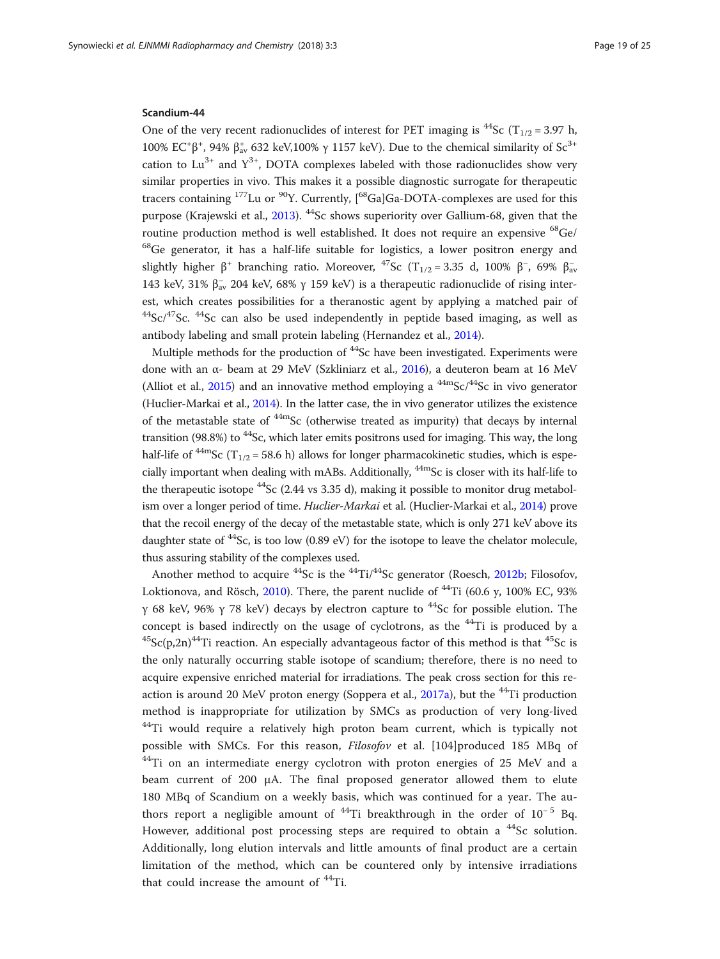## Scandium-44

One of the very recent radionuclides of interest for PET imaging is <sup>44</sup>Sc (T<sub>1/2</sub> = 3.97 h, 100% EC<sup>+</sup>β<sup>+</sup>, 94% β<sub>av</sub> 632 keV,100% γ 1157 keV). Due to the chemical similarity of Sc<sup>3+</sup> cation to  $Lu^{3+}$  and  $Y^{3+}$ , DOTA complexes labeled with those radionuclides show very similar properties in vivo. This makes it a possible diagnostic surrogate for therapeutic tracers containing  $^{177}$ Lu or  $^{90}$ Y. Currently,  $[^{68}$ Ga]Ga-DOTA-complexes are used for this purpose (Krajewski et al.,  $2013$ ). <sup>44</sup>Sc shows superiority over Gallium-68, given that the routine production method is well established. It does not require an expensive  $^{68}$ Ge/  $68$ Ge generator, it has a half-life suitable for logistics, a lower positron energy and slightly higher  $\beta^+$  branching ratio. Moreover, <sup>47</sup>Sc (T<sub>1/2</sub> = 3.35 d, 100%  $\beta^-$ , 69%  $\beta^-$ 143 keV, 31%  $β_{av}^-$  204 keV, 68% γ 159 keV) is a therapeutic radionuclide of rising interest, which creates possibilities for a theranostic agent by applying a matched pair of  $^{44}$ Sc/<sup>47</sup>Sc.  $^{44}$ Sc can also be used independently in peptide based imaging, as well as antibody labeling and small protein labeling (Hernandez et al., [2014](#page-23-0)).

Multiple methods for the production of <sup>44</sup>Sc have been investigated. Experiments were done with an  $\alpha$ - beam at 29 MeV (Szkliniarz et al., [2016\)](#page-24-0), a deuteron beam at 16 MeV (Alliot et al., [2015](#page-22-0)) and an innovative method employing a  $44 \text{m}$ Sc/ $44 \text{Sc}$  in vivo generator (Huclier-Markai et al., [2014](#page-23-0)). In the latter case, the in vivo generator utilizes the existence of the metastable state of  $44m$ Sc (otherwise treated as impurity) that decays by internal transition (98.8%) to  $44$ Sc, which later emits positrons used for imaging. This way, the long half-life of <sup>44m</sup>Sc (T<sub>1/2</sub> = 58.6 h) allows for longer pharmacokinetic studies, which is especially important when dealing with mABs. Additionally, <sup>44m</sup>Sc is closer with its half-life to the therapeutic isotope  $^{44}$ Sc (2.44 vs 3.35 d), making it possible to monitor drug metabolism over a longer period of time. Huclier-Markai et al. (Huclier-Markai et al., [2014](#page-23-0)) prove that the recoil energy of the decay of the metastable state, which is only 271 keV above its daughter state of  $^{44}$ Sc, is too low (0.89 eV) for the isotope to leave the chelator molecule, thus assuring stability of the complexes used.

Another method to acquire  $^{44}$ Sc is the  $^{44}$ Ti/ $^{44}$ Sc generator (Roesch, [2012b;](#page-24-0) Filosofov, Loktionova, and Rösch, [2010](#page-23-0)). There, the parent nuclide of  $^{44}$ Ti (60.6 y, 100% EC, 93% γ 68 keV, 96% γ 78 keV) decays by electron capture to <sup>44</sup>Sc for possible elution. The concept is based indirectly on the usage of cyclotrons, as the <sup>44</sup>Ti is produced by a  ${}^{45}Sc(p,2n)$ <sup>44</sup>Ti reaction. An especially advantageous factor of this method is that  ${}^{45}Sc$  is the only naturally occurring stable isotope of scandium; therefore, there is no need to acquire expensive enriched material for irradiations. The peak cross section for this reaction is around 20 MeV proton energy (Soppera et al.,  $2017a$ ), but the <sup>44</sup>Ti production method is inappropriate for utilization by SMCs as production of very long-lived <sup>44</sup>Ti would require a relatively high proton beam current, which is typically not possible with SMCs. For this reason, Filosofov et al. [104]produced 185 MBq of <sup>44</sup>Ti on an intermediate energy cyclotron with proton energies of 25 MeV and a beam current of 200  $\mu$ A. The final proposed generator allowed them to elute 180 MBq of Scandium on a weekly basis, which was continued for a year. The authors report a negligible amount of  $44$ Ti breakthrough in the order of 10<sup>-5</sup> Bq. However, additional post processing steps are required to obtain a <sup>44</sup>Sc solution. Additionally, long elution intervals and little amounts of final product are a certain limitation of the method, which can be countered only by intensive irradiations that could increase the amount of <sup>44</sup>Ti.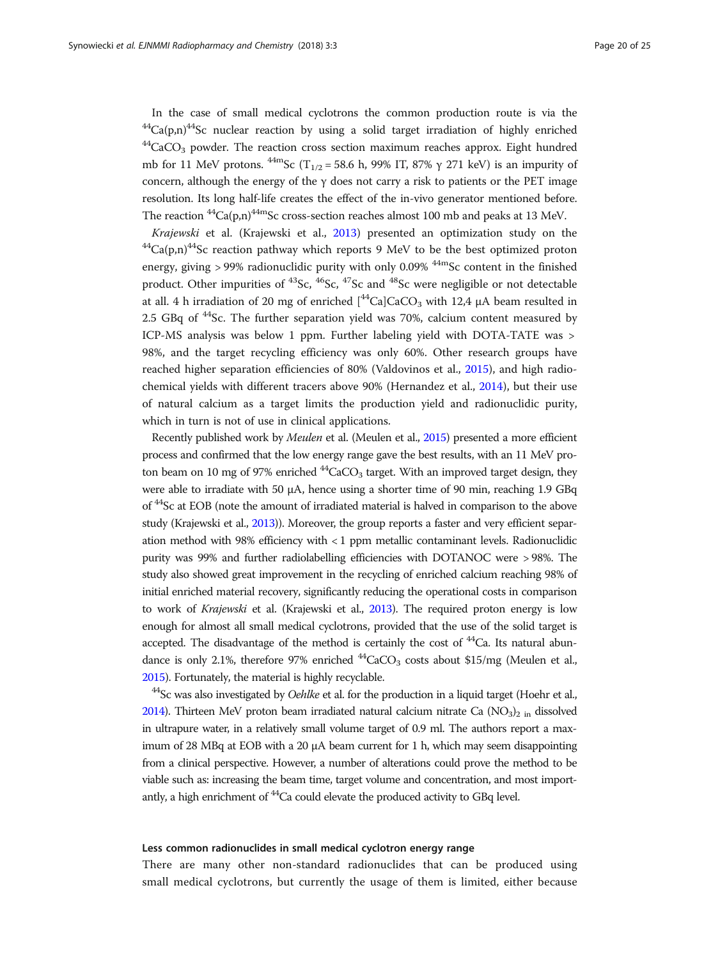In the case of small medical cyclotrons the common production route is via the  $44$ Ca(p,n) $44$ Sc nuclear reaction by using a solid target irradiation of highly enriched  $44$ CaCO<sub>3</sub> powder. The reaction cross section maximum reaches approx. Eight hundred mb for 11 MeV protons. <sup>44m</sup>Sc (T<sub>1/2</sub> = 58.6 h, 99% IT, 87%  $\gamma$  271 keV) is an impurity of concern, although the energy of the  $\gamma$  does not carry a risk to patients or the PET image resolution. Its long half-life creates the effect of the in-vivo generator mentioned before. The reaction  $^{44}Ca(p,n)^{44m}Sc$  cross-section reaches almost 100 mb and peaks at 13 MeV.

Krajewski et al. (Krajewski et al., [2013](#page-23-0)) presented an optimization study on the  $44$ Ca(p,n)<sup>44</sup>Sc reaction pathway which reports 9 MeV to be the best optimized proton energy, giving > 99% radionuclidic purity with only  $0.09\%$  <sup>44m</sup>Sc content in the finished product. Other impurities of  $^{43}$ Sc,  $^{46}$ Sc,  $^{47}$ Sc and  $^{48}$ Sc were negligible or not detectable at all. 4 h irradiation of 20 mg of enriched  $\int_{0}^{44}Ca$ ]CaCO<sub>3</sub> with 12,4  $\mu$ A beam resulted in 2.5 GBq of  $44$ Sc. The further separation yield was 70%, calcium content measured by ICP-MS analysis was below 1 ppm. Further labeling yield with DOTA-TATE was > 98%, and the target recycling efficiency was only 60%. Other research groups have reached higher separation efficiencies of 80% (Valdovinos et al., [2015](#page-24-0)), and high radiochemical yields with different tracers above 90% (Hernandez et al., [2014](#page-23-0)), but their use of natural calcium as a target limits the production yield and radionuclidic purity, which in turn is not of use in clinical applications.

Recently published work by Meulen et al. (Meulen et al., [2015](#page-23-0)) presented a more efficient process and confirmed that the low energy range gave the best results, with an 11 MeV proton beam on 10 mg of 97% enriched  $^{44}$ CaCO<sub>3</sub> target. With an improved target design, they were able to irradiate with 50  $\mu$ A, hence using a shorter time of 90 min, reaching 1.9 GBq of 44Sc at EOB (note the amount of irradiated material is halved in comparison to the above study (Krajewski et al., [2013](#page-23-0))). Moreover, the group reports a faster and very efficient separation method with 98% efficiency with < 1 ppm metallic contaminant levels. Radionuclidic purity was 99% and further radiolabelling efficiencies with DOTANOC were > 98%. The study also showed great improvement in the recycling of enriched calcium reaching 98% of initial enriched material recovery, significantly reducing the operational costs in comparison to work of Krajewski et al. (Krajewski et al., [2013](#page-23-0)). The required proton energy is low enough for almost all small medical cyclotrons, provided that the use of the solid target is accepted. The disadvantage of the method is certainly the cost of  $44$ Ca. Its natural abundance is only 2.1%, therefore 97% enriched  $^{44}CaCO<sub>3</sub>$  costs about \$15/mg (Meulen et al., [2015\)](#page-23-0). Fortunately, the material is highly recyclable.

 $44$ Sc was also investigated by Oehlke et al. for the production in a liquid target (Hoehr et al., [2014](#page-23-0)). Thirteen MeV proton beam irradiated natural calcium nitrate Ca  $(NO<sub>3</sub>)<sub>2</sub>$  in dissolved in ultrapure water, in a relatively small volume target of 0.9 ml. The authors report a maximum of 28 MBq at EOB with a 20  $\mu$ A beam current for 1 h, which may seem disappointing from a clinical perspective. However, a number of alterations could prove the method to be viable such as: increasing the beam time, target volume and concentration, and most importantly, a high enrichment of  $^{44}$ Ca could elevate the produced activity to GBq level.

#### Less common radionuclides in small medical cyclotron energy range

There are many other non-standard radionuclides that can be produced using small medical cyclotrons, but currently the usage of them is limited, either because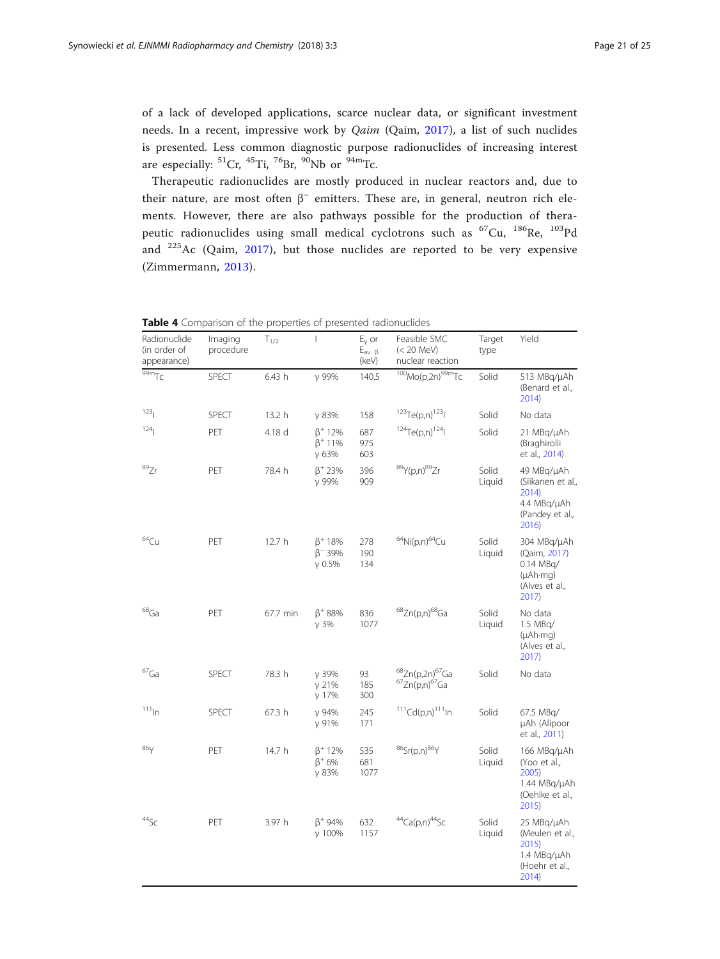<span id="page-20-0"></span>of a lack of developed applications, scarce nuclear data, or significant investment needs. In a recent, impressive work by Qaim (Qaim, [2017\)](#page-24-0), a list of such nuclides is presented. Less common diagnostic purpose radionuclides of increasing interest are especially:  ${}^{51}Cr$ ,  ${}^{45}Ti$ ,  ${}^{76}Br$ ,  ${}^{90}Nb$  or  ${}^{94m}Tc$ .

Therapeutic radionuclides are mostly produced in nuclear reactors and, due to their nature, are most often  $β$ <sup>-</sup> emitters. These are, in general, neutron rich elements. However, there are also pathways possible for the production of therapeutic radionuclides using small medical cyclotrons such as <sup>67</sup>Cu, <sup>186</sup>Re, <sup>103</sup>Pd and  $225$ Ac (Qaim, [2017\)](#page-24-0), but those nuclides are reported to be very expensive (Zimmermann, [2013](#page-24-0)).

| Radionuclide<br>(in order of<br>appearance) | Imaging<br>procedure | $T_{1/2}$ | $\overline{\phantom{a}}$                          | $E_v$ or<br>$E_{\text{av. }\beta}$<br>(keV) | Feasible SMC<br>$(< 20$ MeV)<br>nuclear reaction    | Target<br>type  | Yield                                                                                  |
|---------------------------------------------|----------------------|-----------|---------------------------------------------------|---------------------------------------------|-----------------------------------------------------|-----------------|----------------------------------------------------------------------------------------|
| $\overline{\text{99m}}$ <sub>C</sub>        | SPECT                | 6.43 h    | γ 99%                                             | 140.5                                       | $100$ Mo(p,2n) $99$ mTc                             | Solid           | 513 MBq/µAh<br>(Benard et al.,<br>2014)                                                |
| 123                                         | SPECT                | 13.2 h    | γ 83%                                             | 158                                         | $123$ Te(p,n) $123$                                 | Solid           | No data                                                                                |
| 124                                         | PET                  | 4.18 d    | $\beta^+$ 12%<br>$\beta^+$ 11%<br>γ 63%           | 687<br>975<br>603                           | $124$ Te(p,n) $124$                                 | Solid           | 21 MBq/µAh<br>(Braghirolli<br>et al., 2014)                                            |
| 89Zr                                        | PET                  | 78.4 h    | $\beta^+$ 23%<br>γ 99%                            | 396<br>909                                  | <sup>89</sup> Y(p,n) <sup>89</sup> Zr               | Solid<br>Liquid | 49 MBq/µAh<br>(Siikanen et al.,<br>2014)<br>4.4 MBq/µAh<br>(Pandey et al.,<br>2016     |
| $64$ Cu                                     | PET                  | 12.7 h    | $\beta^+$ 18%<br>$\beta^- 39\%$<br>y 0.5%         | 278<br>190<br>134                           | <sup>64</sup> Ni(p,n) <sup>64</sup> Cu              | Solid<br>Liquid | 304 MBq/µAh<br>(Qaim, 2017)<br>$0.14$ MBq/<br>$(\mu$ Ah·mg)<br>(Alves et al.,<br>2017) |
| ${}^{68}$ Ga                                | PET                  | 67.7 min  | $\beta^+$ 88%<br>y3%                              | 836<br>1077                                 | <sup>68</sup> Zn(p,n) <sup>68</sup> Ga              | Solid<br>Liquid | No data<br>1.5 MBq/<br>$(\mu$ Ah·mg)<br>(Alves et al.,<br>2017)                        |
| ${}^{67}$ Ga                                | SPECT                | 78.3 h    | γ 39%<br>γ 21%<br>γ 17%                           | 93<br>185<br>300                            | ${}^{68}Zn(p,2n){}^{67}Ga$<br>$^{67}Zn(p,n)^{67}Ga$ | Solid           | No data                                                                                |
| 111n                                        | <b>SPECT</b>         | 67.3 h    | γ 94%<br>γ91%                                     | 245<br>171                                  | $111Cd(p,n)$ <sup>111</sup> ln                      | Solid           | 67.5 MBq/<br>µAh (Alipoor<br>et al., 2011)                                             |
| 86 <sub>V</sub>                             | PET                  | 14.7 h    | $\beta$ <sup>+</sup> 12%<br>$\beta^+$ 6%<br>γ 83% | 535<br>681<br>1077                          | ${}^{86}Sr(p,n){}^{86}Y$                            | Solid<br>Liquid | 166 MBq/µAh<br>(Yoo et al.,<br>2005)<br>1.44 MBg/uAh<br>(Oehlke et al.,<br>2015        |
| $44$ Sc                                     | PET                  | 3.97 h    | $\beta^+$ 94%<br>γ 100%                           | 632<br>1157                                 | <sup>44</sup> Ca(p,n) <sup>44</sup> Sc              | Solid<br>Liquid | 25 MBq/µAh<br>(Meulen et al.,<br>2015)<br>1.4 MBg/µAh<br>(Hoehr et al.,<br>2014)       |

Table 4 Comparison of the properties of presented radionuclides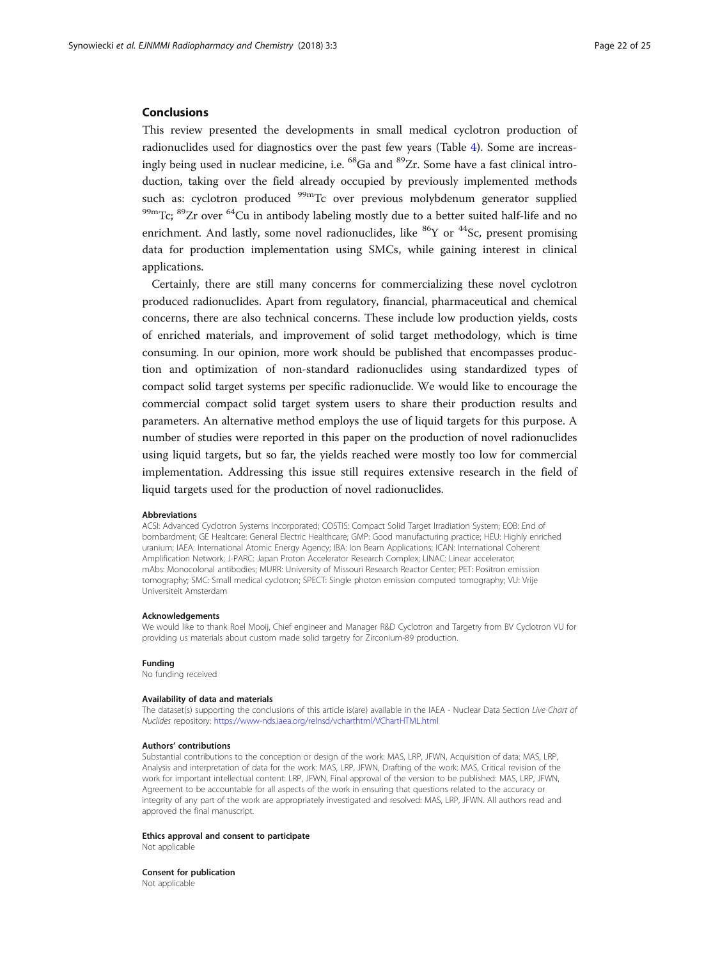## Conclusions

This review presented the developments in small medical cyclotron production of radionuclides used for diagnostics over the past few years (Table [4](#page-20-0)). Some are increasingly being used in nuclear medicine, i.e. <sup>68</sup>Ga and <sup>89</sup>Zr. Some have a fast clinical introduction, taking over the field already occupied by previously implemented methods such as: cyclotron produced  $99m$ Tc over previous molybdenum generator supplied  $^{99m}$ Tc;  $^{89}$ Zr over  $^{64}$ Cu in antibody labeling mostly due to a better suited half-life and no enrichment. And lastly, some novel radionuclides, like  $^{86}Y$  or  $^{44}Sc$ , present promising data for production implementation using SMCs, while gaining interest in clinical applications.

Certainly, there are still many concerns for commercializing these novel cyclotron produced radionuclides. Apart from regulatory, financial, pharmaceutical and chemical concerns, there are also technical concerns. These include low production yields, costs of enriched materials, and improvement of solid target methodology, which is time consuming. In our opinion, more work should be published that encompasses production and optimization of non-standard radionuclides using standardized types of compact solid target systems per specific radionuclide. We would like to encourage the commercial compact solid target system users to share their production results and parameters. An alternative method employs the use of liquid targets for this purpose. A number of studies were reported in this paper on the production of novel radionuclides using liquid targets, but so far, the yields reached were mostly too low for commercial implementation. Addressing this issue still requires extensive research in the field of liquid targets used for the production of novel radionuclides.

#### Abbreviations

ACSI: Advanced Cyclotron Systems Incorporated; COSTIS: Compact Solid Target Irradiation System; EOB: End of bombardment; GE Healtcare: General Electric Healthcare; GMP: Good manufacturing practice; HEU: Highly enriched uranium; IAEA: International Atomic Energy Agency; IBA: Ion Beam Applications; ICAN: International Coherent Amplification Network; J-PARC: Japan Proton Accelerator Research Complex; LINAC: Linear accelerator; mAbs: Monocolonal antibodies; MURR: University of Missouri Research Reactor Center; PET: Positron emission tomography; SMC: Small medical cyclotron; SPECT: Single photon emission computed tomography; VU: Vrije Universiteit Amsterdam

#### Acknowledgements

We would like to thank Roel Mooij, Chief engineer and Manager R&D Cyclotron and Targetry from BV Cyclotron VU for providing us materials about custom made solid targetry for Zirconium-89 production.

#### Funding

No funding received

#### Availability of data and materials

The dataset(s) supporting the conclusions of this article is(are) available in the IAEA - Nuclear Data Section Live Chart of Nuclides repository: <https://www-nds.iaea.org/relnsd/vcharthtml/VChartHTML.html>

#### Authors' contributions

Substantial contributions to the conception or design of the work: MAS, LRP, JFWN, Acquisition of data: MAS, LRP, Analysis and interpretation of data for the work: MAS, LRP, JFWN, Drafting of the work: MAS, Critical revision of the work for important intellectual content: LRP, JFWN, Final approval of the version to be published: MAS, LRP, JFWN, Agreement to be accountable for all aspects of the work in ensuring that questions related to the accuracy or integrity of any part of the work are appropriately investigated and resolved: MAS, LRP, JFWN. All authors read and approved the final manuscript.

#### Ethics approval and consent to participate

Not applicable

Consent for publication

Not applicable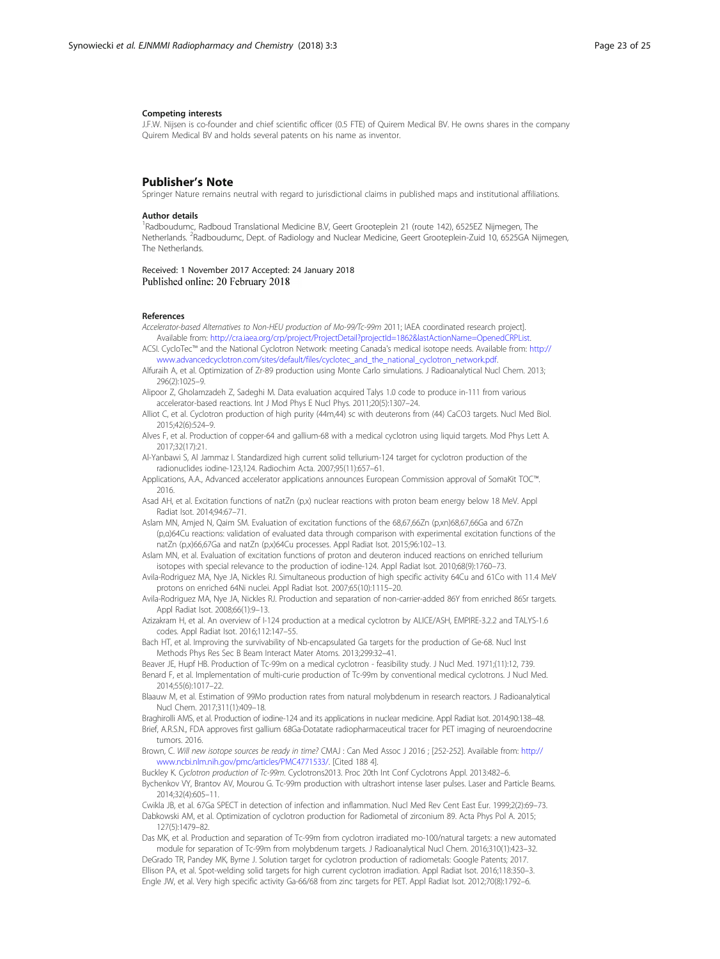#### <span id="page-22-0"></span>Competing interests

J.F.W. Nijsen is co-founder and chief scientific officer (0.5 FTE) of Quirem Medical BV. He owns shares in the company Quirem Medical BV and holds several patents on his name as inventor.

#### Publisher's Note

Springer Nature remains neutral with regard to jurisdictional claims in published maps and institutional affiliations.

#### Author details

<sup>1</sup>Radboudumc, Radboud Translational Medicine B.V, Geert Grooteplein 21 (route 142), 6525EZ Nijmegen, The Netherlands. <sup>2</sup>Radboudumc, Dept. of Radiology and Nuclear Medicine, Geert Grooteplein-Zuid 10, 6525GA Nijmegen, The Netherlands.

Received: 1 November 2017 Accepted: 24 January 2018 Published online: 20 February 2018

#### References

Accelerator-based Alternatives to Non-HEU production of Mo-99/Tc-99m 2011; IAEA coordinated research project]. Available from: <http://cra.iaea.org/crp/project/ProjectDetail?projectId=1862&lastActionName=OpenedCRPList>.

- ACSI. CycloTec™ and the National Cyclotron Network: meeting Canada's medical isotope needs. Available from: [http://](http://www.advancedcyclotron.com/sites/default/files/cyclotec_and_the_national_cyclotron_network.pdf) [www.advancedcyclotron.com/sites/default/files/cyclotec\\_and\\_the\\_national\\_cyclotron\\_network.pdf](http://www.advancedcyclotron.com/sites/default/files/cyclotec_and_the_national_cyclotron_network.pdf).
- Alfuraih A, et al. Optimization of Zr-89 production using Monte Carlo simulations. J Radioanalytical Nucl Chem. 2013; 296(2):1025–9.
- Alipoor Z, Gholamzadeh Z, Sadeghi M. Data evaluation acquired Talys 1.0 code to produce in-111 from various accelerator-based reactions. Int J Mod Phys E Nucl Phys. 2011;20(5):1307–24.
- Alliot C, et al. Cyclotron production of high purity (44m,44) sc with deuterons from (44) CaCO3 targets. Nucl Med Biol. 2015;42(6):524–9.
- Alves F, et al. Production of copper-64 and gallium-68 with a medical cyclotron using liquid targets. Mod Phys Lett A. 2017;32(17):21.
- Al-Yanbawi S, Al Jammaz I. Standardized high current solid tellurium-124 target for cyclotron production of the radionuclides iodine-123,124. Radiochim Acta. 2007;95(11):657–61.
- Applications, A.A., Advanced accelerator applications announces European Commission approval of SomaKit TOC™. 2016.
- Asad AH, et al. Excitation functions of natZn (p,x) nuclear reactions with proton beam energy below 18 MeV. Appl Radiat Isot. 2014;94:67–71.
- Aslam MN, Amjed N, Qaim SM. Evaluation of excitation functions of the 68,67,66Zn (p,xn)68,67,66Ga and 67Zn (p,α)64Cu reactions: validation of evaluated data through comparison with experimental excitation functions of the natZn (p,x)66,67Ga and natZn (p,x)64Cu processes. Appl Radiat Isot. 2015;96:102–13.
- Aslam MN, et al. Evaluation of excitation functions of proton and deuteron induced reactions on enriched tellurium isotopes with special relevance to the production of iodine-124. Appl Radiat Isot. 2010;68(9):1760–73.
- Avila-Rodriguez MA, Nye JA, Nickles RJ. Simultaneous production of high specific activity 64Cu and 61Co with 11.4 MeV protons on enriched 64Ni nuclei. Appl Radiat Isot. 2007;65(10):1115–20.
- Avila-Rodriguez MA, Nye JA, Nickles RJ. Production and separation of non-carrier-added 86Y from enriched 86Sr targets. Appl Radiat Isot. 2008;66(1):9–13.
- Azizakram H, et al. An overview of I-124 production at a medical cyclotron by ALICE/ASH, EMPIRE-3.2.2 and TALYS-1.6 codes. Appl Radiat Isot. 2016;112:147–55.
- Bach HT, et al. Improving the survivability of Nb-encapsulated Ga targets for the production of Ge-68. Nucl Inst Methods Phys Res Sec B Beam Interact Mater Atoms. 2013;299:32–41.
- Beaver JE, Hupf HB. Production of Tc-99m on a medical cyclotron feasibility study. J Nucl Med. 1971;(11):12, 739. Benard F, et al. Implementation of multi-curie production of Tc-99m by conventional medical cyclotrons. J Nucl Med. 2014;55(6):1017–22.
- Blaauw M, et al. Estimation of 99Mo production rates from natural molybdenum in research reactors. J Radioanalytical Nucl Chem. 2017;311(1):409–18.
- Braghirolli AMS, et al. Production of iodine-124 and its applications in nuclear medicine. Appl Radiat Isot. 2014;90:138–48. Brief, A.R.S.N., FDA approves first gallium 68Ga-Dotatate radiopharmaceutical tracer for PET imaging of neuroendocrine tumors. 2016.
- Brown, C. Will new isotope sources be ready in time? CMAJ : Can Med Assoc J 2016 ; [252-252]. Available from: [http://](http://www.ncbi.nlm.nih.gov/pmc/articles/PMC4771533/) [www.ncbi.nlm.nih.gov/pmc/articles/PMC4771533/.](http://www.ncbi.nlm.nih.gov/pmc/articles/PMC4771533/) [Cited 188 4].

Buckley K. Cyclotron production of Tc-99m. Cyclotrons2013. Proc 20th Int Conf Cyclotrons Appl. 2013:482–6.

Bychenkov VY, Brantov AV, Mourou G. Tc-99m production with ultrashort intense laser pulses. Laser and Particle Beams. 2014;32(4):605–11.

- Cwikla JB, et al. 67Ga SPECT in detection of infection and inflammation. Nucl Med Rev Cent East Eur. 1999;2(2):69–73. Dabkowski AM, et al. Optimization of cyclotron production for Radiometal of zirconium 89. Acta Phys Pol A. 2015; 127(5):1479–82.
- Das MK, et al. Production and separation of Tc-99m from cyclotron irradiated mo-100/natural targets: a new automated module for separation of Tc-99m from molybdenum targets. J Radioanalytical Nucl Chem. 2016;310(1):423–32.
- DeGrado TR, Pandey MK, Byrne J. Solution target for cyclotron production of radiometals: Google Patents; 2017. Ellison PA, et al. Spot-welding solid targets for high current cyclotron irradiation. Appl Radiat Isot. 2016;118:350–3. Engle JW, et al. Very high specific activity Ga-66/68 from zinc targets for PET. Appl Radiat Isot. 2012;70(8):1792–6.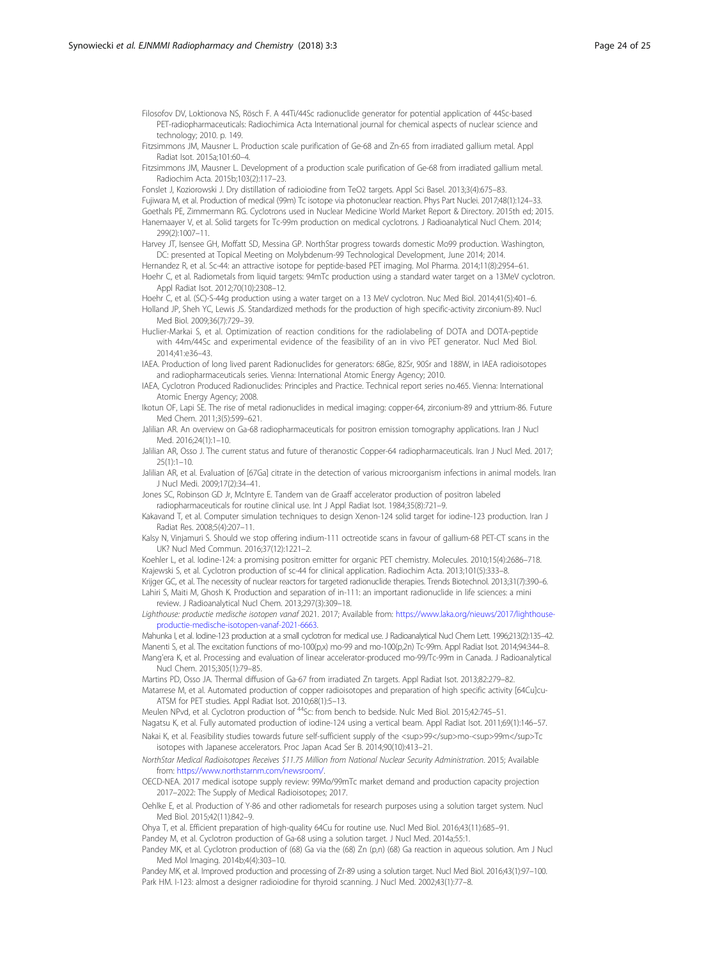<span id="page-23-0"></span>Filosofov DV, Loktionova NS, Rösch F. A 44Ti/44Sc radionuclide generator for potential application of 44Sc-based PET-radiopharmaceuticals: Radiochimica Acta International journal for chemical aspects of nuclear science and technology; 2010. p. 149.

- Fitzsimmons JM, Mausner L. Production scale purification of Ge-68 and Zn-65 from irradiated gallium metal. Appl Radiat Isot. 2015a;101:60–4.
- Fitzsimmons JM, Mausner L. Development of a production scale purification of Ge-68 from irradiated gallium metal. Radiochim Acta. 2015b;103(2):117–23.

Fonslet J, Koziorowski J. Dry distillation of radioiodine from TeO2 targets. Appl Sci Basel. 2013;3(4):675–83. Fujiwara M, et al. Production of medical (99m) Tc isotope via photonuclear reaction. Phys Part Nuclei. 2017;48(1):124–33. Goethals PE, Zimmermann RG. Cyclotrons used in Nuclear Medicine World Market Report & Directory. 2015th ed; 2015. Hanemaayer V, et al. Solid targets for Tc-99m production on medical cyclotrons. J Radioanalytical Nucl Chem. 2014; 299(2):1007–11.

Harvey JT, Isensee GH, Moffatt SD, Messina GP. NorthStar progress towards domestic Mo99 production. Washington, DC: presented at Topical Meeting on Molybdenum-99 Technological Development, June 2014; 2014.

Hernandez R, et al. Sc-44: an attractive isotope for peptide-based PET imaging. Mol Pharma. 2014;11(8):2954–61. Hoehr C, et al. Radiometals from liquid targets: 94mTc production using a standard water target on a 13MeV cyclotron. Appl Radiat Isot. 2012;70(10):2308–12.

Hoehr C, et al. (SC)-S-44g production using a water target on a 13 MeV cyclotron. Nuc Med Biol. 2014;41(5):401-6. Holland JP, Sheh YC, Lewis JS. Standardized methods for the production of high specific-activity zirconium-89. Nucl Med Biol. 2009;36(7):729–39.

Huclier-Markai S, et al. Optimization of reaction conditions for the radiolabeling of DOTA and DOTA-peptide with 44m/44Sc and experimental evidence of the feasibility of an in vivo PET generator. Nucl Med Biol. 2014;41:e36–43.

IAEA. Production of long lived parent Radionuclides for generators: 68Ge, 82Sr, 90Sr and 188W, in IAEA radioisotopes and radiopharmaceuticals series. Vienna: International Atomic Energy Agency; 2010.

IAEA, Cyclotron Produced Radionuclides: Principles and Practice. Technical report series no.465. Vienna: International Atomic Energy Agency; 2008.

Ikotun OF, Lapi SE. The rise of metal radionuclides in medical imaging: copper-64, zirconium-89 and yttrium-86. Future Med Chem. 2011;3(5):599–621.

- Jalilian AR. An overview on Ga-68 radiopharmaceuticals for positron emission tomography applications. Iran J Nucl Med. 2016;24(1):1–10.
- Jalilian AR, Osso J. The current status and future of theranostic Copper-64 radiopharmaceuticals. Iran J Nucl Med. 2017; 25(1):1–10.
- Jalilian AR, et al. Evaluation of [67Ga] citrate in the detection of various microorganism infections in animal models. Iran J Nucl Medi. 2009;17(2):34–41.

Jones SC, Robinson GD Jr, McIntyre E. Tandem van de Graaff accelerator production of positron labeled radiopharmaceuticals for routine clinical use. Int J Appl Radiat Isot. 1984;35(8):721–9.

Kakavand T, et al. Computer simulation techniques to design Xenon-124 solid target for iodine-123 production. Iran J Radiat Res. 2008;5(4):207–11.

Kalsy N, Vinjamuri S. Should we stop offering indium-111 octreotide scans in favour of gallium-68 PET-CT scans in the UK? Nucl Med Commun. 2016;37(12):1221–2.

Koehler L, et al. Iodine-124: a promising positron emitter for organic PET chemistry. Molecules. 2010;15(4):2686–718. Krajewski S, et al. Cyclotron production of sc-44 for clinical application. Radiochim Acta. 2013;101(5):333–8. Krijger GC, et al. The necessity of nuclear reactors for targeted radionuclide therapies. Trends Biotechnol. 2013;31(7):390–6.

Lahiri S, Maiti M, Ghosh K. Production and separation of in-111: an important radionuclide in life sciences: a mini review. J Radioanalytical Nucl Chem. 2013;297(3):309–18.

Lighthouse: productie medische isotopen vanaf 2021. 2017; Available from: [https://www.laka.org/nieuws/2017/lighthouse](https://www.laka.org/nieuws/2017/lighthouse-productie-medische-isotopen-vanaf-2021-6663)[productie-medische-isotopen-vanaf-2021-6663](https://www.laka.org/nieuws/2017/lighthouse-productie-medische-isotopen-vanaf-2021-6663).

Mahunka I, et al. Iodine-123 production at a small cyclotron for medical use. J Radioanalytical Nucl Chem Lett. 1996;213(2):135–42. Manenti S, et al. The excitation functions of mo-100(p,x) mo-99 and mo-100(p,2n) Tc-99m. Appl Radiat Isot. 2014;94:344–8. Mang'era K, et al. Processing and evaluation of linear accelerator-produced mo-99/Tc-99m in Canada. J Radioanalytical Nucl Chem. 2015;305(1):79–85.

Martins PD, Osso JA. Thermal diffusion of Ga-67 from irradiated Zn targets. Appl Radiat Isot. 2013;82:279–82. Matarrese M, et al. Automated production of copper radioisotopes and preparation of high specific activity [64Cu]cu-ATSM for PET studies. Appl Radiat Isot. 2010;68(1):5–13.

Meulen NPvd, et al. Cyclotron production of <sup>44</sup>Sc: from bench to bedside. Nulc Med Biol. 2015;42:745-51.

Nagatsu K, et al. Fully automated production of iodine-124 using a vertical beam. Appl Radiat Isot. 2011;69(1):146–57.

Nakai K, et al. Feasibility studies towards future self-sufficient supply of the <sup>99</sup>mo-<sup>99m</sup>Tc isotopes with Japanese accelerators. Proc Japan Acad Ser B. 2014;90(10):413–21.

NorthStar Medical Radioisotopes Receives \$11.75 Million from National Nuclear Security Administration. 2015; Available from: [https://www.northstarnm.com/newsroom/.](https://www.northstarnm.com/newsroom/)

OECD-NEA. 2017 medical isotope supply review: 99Mo/99mTc market demand and production capacity projection 2017–2022: The Supply of Medical Radioisotopes; 2017.

Oehlke E, et al. Production of Y-86 and other radiometals for research purposes using a solution target system. Nucl Med Biol. 2015;42(11):842–9.

Ohya T, et al. Efficient preparation of high-quality 64Cu for routine use. Nucl Med Biol. 2016;43(11):685–91.

Pandey M, et al. Cyclotron production of Ga-68 using a solution target. J Nucl Med. 2014a;55:1.

Pandey MK, et al. Cyclotron production of (68) Ga via the (68) Zn (p,n) (68) Ga reaction in aqueous solution. Am J Nucl Med Mol Imaging. 2014b;4(4):303–10.

Pandey MK, et al. Improved production and processing of Zr-89 using a solution target. Nucl Med Biol. 2016;43(1):97–100. Park HM. I-123: almost a designer radioiodine for thyroid scanning. J Nucl Med. 2002;43(1):77–8.